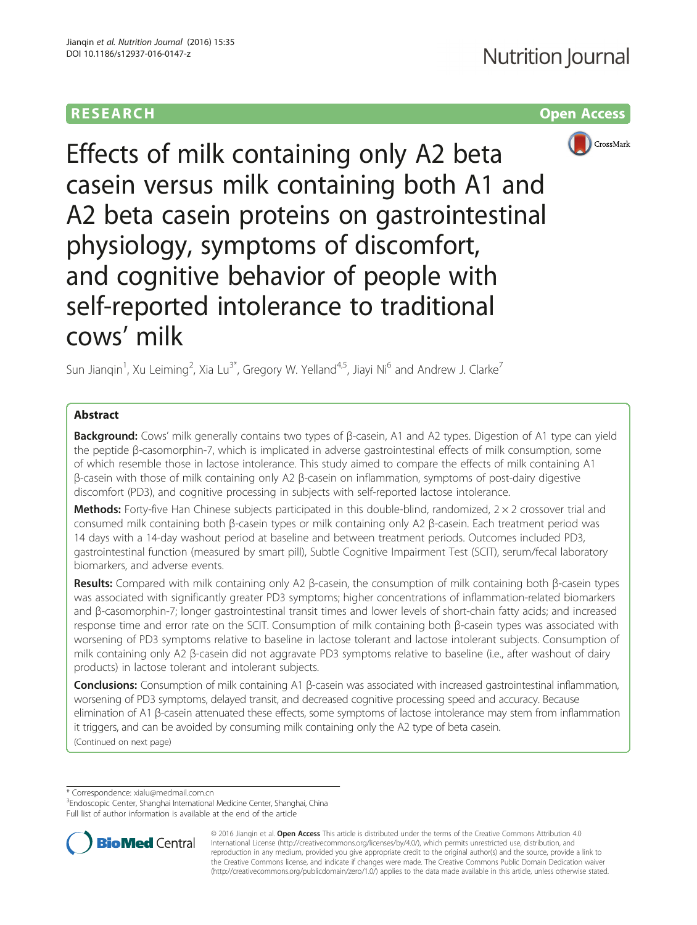# **RESEARCH RESEARCH** *CHECK <b>CHECK*



Effects of milk containing only A2 beta casein versus milk containing both A1 and A2 beta casein proteins on gastrointestinal physiology, symptoms of discomfort, and cognitive behavior of people with self-reported intolerance to traditional cows' milk

Sun Jianqin<sup>1</sup>, Xu Leiming<sup>2</sup>, Xia Lu<sup>3\*</sup>, Gregory W. Yelland<sup>4,5</sup>, Jiayi Ni<sup>6</sup> and Andrew J. Clarke<sup>7</sup>

# Abstract

Background: Cows' milk generally contains two types of β-casein, A1 and A2 types. Digestion of A1 type can yield the peptide β-casomorphin-7, which is implicated in adverse gastrointestinal effects of milk consumption, some of which resemble those in lactose intolerance. This study aimed to compare the effects of milk containing A1 β-casein with those of milk containing only A2 β-casein on inflammation, symptoms of post-dairy digestive discomfort (PD3), and cognitive processing in subjects with self-reported lactose intolerance.

Methods: Forty-five Han Chinese subjects participated in this double-blind, randomized,  $2 \times 2$  crossover trial and consumed milk containing both β-casein types or milk containing only A2 β-casein. Each treatment period was 14 days with a 14-day washout period at baseline and between treatment periods. Outcomes included PD3, gastrointestinal function (measured by smart pill), Subtle Cognitive Impairment Test (SCIT), serum/fecal laboratory biomarkers, and adverse events.

Results: Compared with milk containing only A2 β-casein, the consumption of milk containing both β-casein types was associated with significantly greater PD3 symptoms; higher concentrations of inflammation-related biomarkers and β-casomorphin-7; longer gastrointestinal transit times and lower levels of short-chain fatty acids; and increased response time and error rate on the SCIT. Consumption of milk containing both β-casein types was associated with worsening of PD3 symptoms relative to baseline in lactose tolerant and lactose intolerant subjects. Consumption of milk containing only A2 β-casein did not aggravate PD3 symptoms relative to baseline (i.e., after washout of dairy products) in lactose tolerant and intolerant subjects.

Conclusions: Consumption of milk containing A1 β-casein was associated with increased gastrointestinal inflammation, worsening of PD3 symptoms, delayed transit, and decreased cognitive processing speed and accuracy. Because elimination of A1 β-casein attenuated these effects, some symptoms of lactose intolerance may stem from inflammation it triggers, and can be avoided by consuming milk containing only the A2 type of beta casein. (Continued on next page)

\* Correspondence: [xialu@medmail.com.cn](mailto:xialu@medmail.com.cn) <sup>3</sup>

<sup>&</sup>lt;sup>3</sup>Endoscopic Center, Shanghai International Medicine Center, Shanghai, China Full list of author information is available at the end of the article



© 2016 Jiangin et al. Open Access This article is distributed under the terms of the Creative Commons Attribution 4.0 International License [\(http://creativecommons.org/licenses/by/4.0/](http://creativecommons.org/licenses/by/4.0/)), which permits unrestricted use, distribution, and reproduction in any medium, provided you give appropriate credit to the original author(s) and the source, provide a link to the Creative Commons license, and indicate if changes were made. The Creative Commons Public Domain Dedication waiver [\(http://creativecommons.org/publicdomain/zero/1.0/](http://creativecommons.org/publicdomain/zero/1.0/)) applies to the data made available in this article, unless otherwise stated.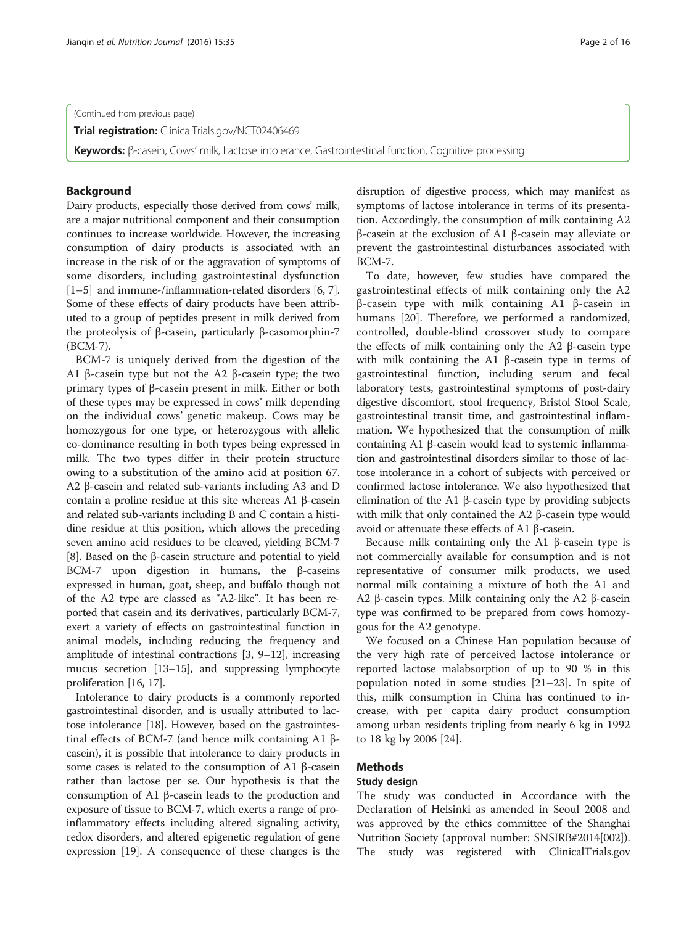(Continued from previous page)

**Trial registration:** [ClinicalTrials.gov/NCT02406469](https://clinicaltrials.gov/ct2/show/NCT02406469)

Keywords: β-casein, Cows' milk, Lactose intolerance, Gastrointestinal function, Cognitive processing

## Background

Dairy products, especially those derived from cows' milk, are a major nutritional component and their consumption continues to increase worldwide. However, the increasing consumption of dairy products is associated with an increase in the risk of or the aggravation of symptoms of some disorders, including gastrointestinal dysfunction [[1](#page-14-0)–[5\]](#page-14-0) and immune-/inflammation-related disorders [[6, 7](#page-14-0)]. Some of these effects of dairy products have been attributed to a group of peptides present in milk derived from the proteolysis of β-casein, particularly β-casomorphin-7 (BCM-7).

BCM-7 is uniquely derived from the digestion of the A1 β-casein type but not the A2 β-casein type; the two primary types of β-casein present in milk. Either or both of these types may be expressed in cows' milk depending on the individual cows' genetic makeup. Cows may be homozygous for one type, or heterozygous with allelic co-dominance resulting in both types being expressed in milk. The two types differ in their protein structure owing to a substitution of the amino acid at position 67. A2 β-casein and related sub-variants including A3 and D contain a proline residue at this site whereas A1 β-casein and related sub-variants including B and C contain a histidine residue at this position, which allows the preceding seven amino acid residues to be cleaved, yielding BCM-7 [[8\]](#page-14-0). Based on the β-casein structure and potential to yield BCM-7 upon digestion in humans, the β-caseins expressed in human, goat, sheep, and buffalo though not of the A2 type are classed as "A2-like". It has been reported that casein and its derivatives, particularly BCM-7, exert a variety of effects on gastrointestinal function in animal models, including reducing the frequency and amplitude of intestinal contractions [[3, 9](#page-14-0)–[12\]](#page-14-0), increasing mucus secretion [\[13](#page-14-0)–[15\]](#page-14-0), and suppressing lymphocyte proliferation [\[16, 17\]](#page-14-0).

Intolerance to dairy products is a commonly reported gastrointestinal disorder, and is usually attributed to lactose intolerance [[18](#page-14-0)]. However, based on the gastrointestinal effects of BCM-7 (and hence milk containing A1 βcasein), it is possible that intolerance to dairy products in some cases is related to the consumption of A1 β-casein rather than lactose per se. Our hypothesis is that the consumption of A1 β-casein leads to the production and exposure of tissue to BCM-7, which exerts a range of proinflammatory effects including altered signaling activity, redox disorders, and altered epigenetic regulation of gene expression [[19](#page-14-0)]. A consequence of these changes is the disruption of digestive process, which may manifest as symptoms of lactose intolerance in terms of its presentation. Accordingly, the consumption of milk containing A2 β-casein at the exclusion of A1 β-casein may alleviate or prevent the gastrointestinal disturbances associated with

BCM-7. To date, however, few studies have compared the gastrointestinal effects of milk containing only the A2 β-casein type with milk containing A1 β-casein in humans [[20\]](#page-14-0). Therefore, we performed a randomized, controlled, double-blind crossover study to compare the effects of milk containing only the A2 β-casein type with milk containing the A1 β-casein type in terms of gastrointestinal function, including serum and fecal laboratory tests, gastrointestinal symptoms of post-dairy digestive discomfort, stool frequency, Bristol Stool Scale, gastrointestinal transit time, and gastrointestinal inflammation. We hypothesized that the consumption of milk containing A1 β-casein would lead to systemic inflammation and gastrointestinal disorders similar to those of lactose intolerance in a cohort of subjects with perceived or confirmed lactose intolerance. We also hypothesized that elimination of the A1 β-casein type by providing subjects with milk that only contained the A2 β-casein type would avoid or attenuate these effects of A1 β-casein.

Because milk containing only the A1 β-casein type is not commercially available for consumption and is not representative of consumer milk products, we used normal milk containing a mixture of both the A1 and A2 β-casein types. Milk containing only the A2 β-casein type was confirmed to be prepared from cows homozygous for the A2 genotype.

We focused on a Chinese Han population because of the very high rate of perceived lactose intolerance or reported lactose malabsorption of up to 90 % in this population noted in some studies [\[21](#page-14-0)–[23\]](#page-14-0). In spite of this, milk consumption in China has continued to increase, with per capita dairy product consumption among urban residents tripling from nearly 6 kg in 1992 to 18 kg by 2006 [\[24](#page-14-0)].

## Methods

## Study design

The study was conducted in Accordance with the Declaration of Helsinki as amended in Seoul 2008 and was approved by the ethics committee of the Shanghai Nutrition Society (approval number: SNSIRB#2014[002]). The study was registered with ClinicalTrials.gov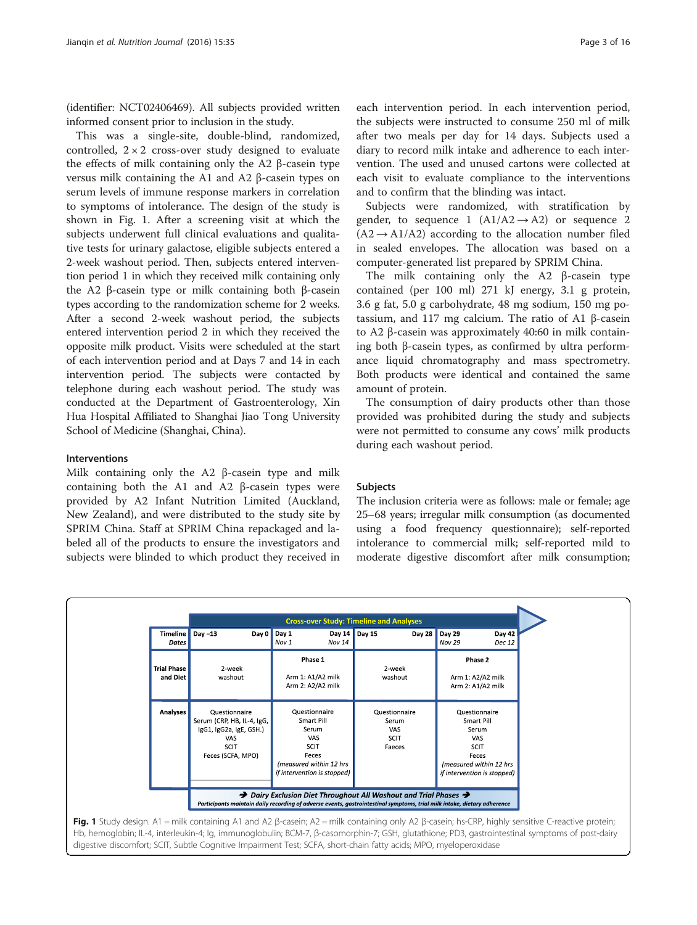(identifier: NCT02406469). All subjects provided written informed consent prior to inclusion in the study.

This was a single-site, double-blind, randomized, controlled,  $2 \times 2$  cross-over study designed to evaluate the effects of milk containing only the A2 β-casein type versus milk containing the A1 and A2 β-casein types on serum levels of immune response markers in correlation to symptoms of intolerance. The design of the study is shown in Fig. 1. After a screening visit at which the subjects underwent full clinical evaluations and qualitative tests for urinary galactose, eligible subjects entered a 2-week washout period. Then, subjects entered intervention period 1 in which they received milk containing only the A2 β-casein type or milk containing both β-casein types according to the randomization scheme for 2 weeks. After a second 2-week washout period, the subjects entered intervention period 2 in which they received the opposite milk product. Visits were scheduled at the start of each intervention period and at Days 7 and 14 in each intervention period. The subjects were contacted by telephone during each washout period. The study was conducted at the Department of Gastroenterology, Xin Hua Hospital Affiliated to Shanghai Jiao Tong University School of Medicine (Shanghai, China).

## Interventions

Milk containing only the A2 β-casein type and milk containing both the A1 and A2 β-casein types were provided by A2 Infant Nutrition Limited (Auckland, New Zealand), and were distributed to the study site by SPRIM China. Staff at SPRIM China repackaged and labeled all of the products to ensure the investigators and subjects were blinded to which product they received in

each intervention period. In each intervention period, the subjects were instructed to consume 250 ml of milk after two meals per day for 14 days. Subjects used a diary to record milk intake and adherence to each intervention. The used and unused cartons were collected at each visit to evaluate compliance to the interventions and to confirm that the blinding was intact.

Subjects were randomized, with stratification by gender, to sequence 1  $(A1/A2 \rightarrow A2)$  or sequence 2  $(A2 \rightarrow A1/A2)$  according to the allocation number filed in sealed envelopes. The allocation was based on a computer-generated list prepared by SPRIM China.

The milk containing only the A2 β-casein type contained (per 100 ml) 271 kJ energy, 3.1 g protein, 3.6 g fat, 5.0 g carbohydrate, 48 mg sodium, 150 mg potassium, and 117 mg calcium. The ratio of A1 β-casein to A2 β-casein was approximately 40:60 in milk containing both β-casein types, as confirmed by ultra performance liquid chromatography and mass spectrometry. Both products were identical and contained the same amount of protein.

The consumption of dairy products other than those provided was prohibited during the study and subjects were not permitted to consume any cows' milk products during each washout period.

#### Subjects

The inclusion criteria were as follows: male or female; age 25–68 years; irregular milk consumption (as documented using a food frequency questionnaire); self-reported intolerance to commercial milk; self-reported mild to moderate digestive discomfort after milk consumption;



Hb, hemoglobin; IL-4, interleukin-4; Ig, immunoglobulin; BCM-7, β-casomorphin-7; GSH, glutathione; PD3, gastrointestinal symptoms of post-dairy digestive discomfort; SCIT, Subtle Cognitive Impairment Test; SCFA, short-chain fatty acids; MPO, myeloperoxidase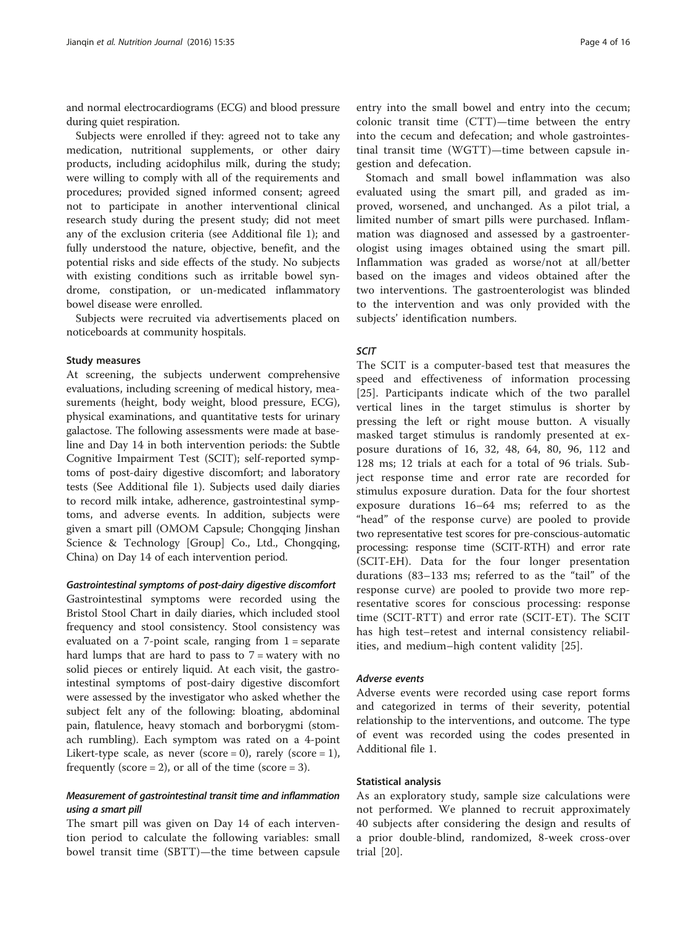and normal electrocardiograms (ECG) and blood pressure during quiet respiration.

Subjects were enrolled if they: agreed not to take any medication, nutritional supplements, or other dairy products, including acidophilus milk, during the study; were willing to comply with all of the requirements and procedures; provided signed informed consent; agreed not to participate in another interventional clinical research study during the present study; did not meet any of the exclusion criteria (see Additional file [1](#page-14-0)); and fully understood the nature, objective, benefit, and the potential risks and side effects of the study. No subjects with existing conditions such as irritable bowel syndrome, constipation, or un-medicated inflammatory bowel disease were enrolled.

Subjects were recruited via advertisements placed on noticeboards at community hospitals.

#### Study measures

At screening, the subjects underwent comprehensive evaluations, including screening of medical history, measurements (height, body weight, blood pressure, ECG), physical examinations, and quantitative tests for urinary galactose. The following assessments were made at baseline and Day 14 in both intervention periods: the Subtle Cognitive Impairment Test (SCIT); self-reported symptoms of post-dairy digestive discomfort; and laboratory tests (See Additional file [1\)](#page-14-0). Subjects used daily diaries to record milk intake, adherence, gastrointestinal symptoms, and adverse events. In addition, subjects were given a smart pill (OMOM Capsule; Chongqing Jinshan Science & Technology [Group] Co., Ltd., Chongqing, China) on Day 14 of each intervention period.

#### Gastrointestinal symptoms of post-dairy digestive discomfort

Gastrointestinal symptoms were recorded using the Bristol Stool Chart in daily diaries, which included stool frequency and stool consistency. Stool consistency was evaluated on a 7-point scale, ranging from  $1$  = separate hard lumps that are hard to pass to  $7 =$  watery with no solid pieces or entirely liquid. At each visit, the gastrointestinal symptoms of post-dairy digestive discomfort were assessed by the investigator who asked whether the subject felt any of the following: bloating, abdominal pain, flatulence, heavy stomach and borborygmi (stomach rumbling). Each symptom was rated on a 4-point Likert-type scale, as never (score = 0), rarely (score = 1), frequently (score  $= 2$ ), or all of the time (score  $= 3$ ).

## Measurement of gastrointestinal transit time and inflammation using a smart pill

The smart pill was given on Day 14 of each intervention period to calculate the following variables: small bowel transit time (SBTT)—the time between capsule entry into the small bowel and entry into the cecum; colonic transit time (CTT)—time between the entry into the cecum and defecation; and whole gastrointestinal transit time (WGTT)—time between capsule ingestion and defecation.

Stomach and small bowel inflammation was also evaluated using the smart pill, and graded as improved, worsened, and unchanged. As a pilot trial, a limited number of smart pills were purchased. Inflammation was diagnosed and assessed by a gastroenterologist using images obtained using the smart pill. Inflammation was graded as worse/not at all/better based on the images and videos obtained after the two interventions. The gastroenterologist was blinded to the intervention and was only provided with the subjects' identification numbers.

## SCIT

The SCIT is a computer-based test that measures the speed and effectiveness of information processing [[25\]](#page-14-0). Participants indicate which of the two parallel vertical lines in the target stimulus is shorter by pressing the left or right mouse button. A visually masked target stimulus is randomly presented at exposure durations of 16, 32, 48, 64, 80, 96, 112 and 128 ms; 12 trials at each for a total of 96 trials. Subject response time and error rate are recorded for stimulus exposure duration. Data for the four shortest exposure durations 16–64 ms; referred to as the "head" of the response curve) are pooled to provide two representative test scores for pre-conscious-automatic processing: response time (SCIT-RTH) and error rate (SCIT-EH). Data for the four longer presentation durations (83–133 ms; referred to as the "tail" of the response curve) are pooled to provide two more representative scores for conscious processing: response time (SCIT-RTT) and error rate (SCIT-ET). The SCIT has high test–retest and internal consistency reliabilities, and medium–high content validity [[25\]](#page-14-0).

#### Adverse events

Adverse events were recorded using case report forms and categorized in terms of their severity, potential relationship to the interventions, and outcome. The type of event was recorded using the codes presented in Additional file [1](#page-14-0).

#### Statistical analysis

As an exploratory study, sample size calculations were not performed. We planned to recruit approximately 40 subjects after considering the design and results of a prior double-blind, randomized, 8-week cross-over trial [[20\]](#page-14-0).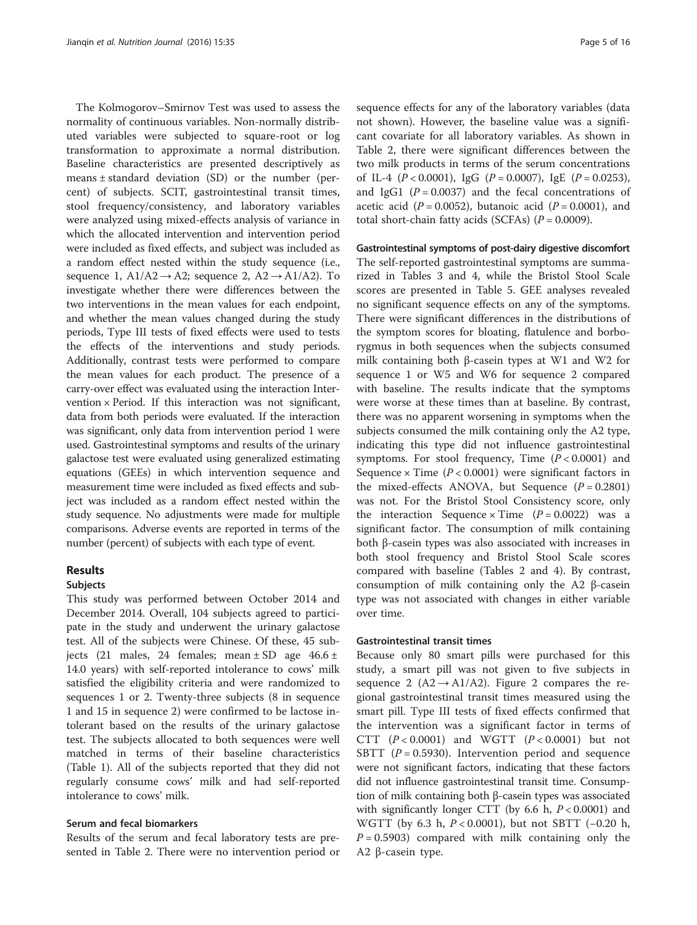The Kolmogorov–Smirnov Test was used to assess the normality of continuous variables. Non-normally distributed variables were subjected to square-root or log transformation to approximate a normal distribution. Baseline characteristics are presented descriptively as means ± standard deviation (SD) or the number (percent) of subjects. SCIT, gastrointestinal transit times, stool frequency/consistency, and laboratory variables were analyzed using mixed-effects analysis of variance in which the allocated intervention and intervention period were included as fixed effects, and subject was included as a random effect nested within the study sequence (i.e., sequence 1,  $A1/A2 \rightarrow A2$ ; sequence 2,  $A2 \rightarrow A1/A2$ ). To investigate whether there were differences between the two interventions in the mean values for each endpoint, and whether the mean values changed during the study periods, Type III tests of fixed effects were used to tests the effects of the interventions and study periods. Additionally, contrast tests were performed to compare the mean values for each product. The presence of a carry-over effect was evaluated using the interaction Intervention  $\times$  Period. If this interaction was not significant, data from both periods were evaluated. If the interaction was significant, only data from intervention period 1 were used. Gastrointestinal symptoms and results of the urinary galactose test were evaluated using generalized estimating equations (GEEs) in which intervention sequence and measurement time were included as fixed effects and subject was included as a random effect nested within the study sequence. No adjustments were made for multiple comparisons. Adverse events are reported in terms of the number (percent) of subjects with each type of event.

## Results

#### Subjects

This study was performed between October 2014 and December 2014. Overall, 104 subjects agreed to participate in the study and underwent the urinary galactose test. All of the subjects were Chinese. Of these, 45 subjects (21 males, 24 females; mean  $\pm$  SD age 46.6  $\pm$ 14.0 years) with self-reported intolerance to cows' milk satisfied the eligibility criteria and were randomized to sequences 1 or 2. Twenty-three subjects (8 in sequence 1 and 15 in sequence 2) were confirmed to be lactose intolerant based on the results of the urinary galactose test. The subjects allocated to both sequences were well matched in terms of their baseline characteristics (Table [1\)](#page-5-0). All of the subjects reported that they did not regularly consume cows' milk and had self-reported intolerance to cows' milk.

## Serum and fecal biomarkers

Results of the serum and fecal laboratory tests are presented in Table [2](#page-6-0). There were no intervention period or sequence effects for any of the laboratory variables (data not shown). However, the baseline value was a significant covariate for all laboratory variables. As shown in Table [2](#page-6-0), there were significant differences between the two milk products in terms of the serum concentrations of IL-4  $(P < 0.0001)$ , IgG  $(P = 0.0007)$ , IgE  $(P = 0.0253)$ , and IgG1 ( $P = 0.0037$ ) and the fecal concentrations of acetic acid  $(P = 0.0052)$ , butanoic acid  $(P = 0.0001)$ , and total short-chain fatty acids (SCFAs)  $(P = 0.0009)$ .

#### Gastrointestinal symptoms of post-dairy digestive discomfort

The self-reported gastrointestinal symptoms are summarized in Tables [3](#page-7-0) and [4](#page-8-0), while the Bristol Stool Scale scores are presented in Table [5](#page-10-0). GEE analyses revealed no significant sequence effects on any of the symptoms. There were significant differences in the distributions of the symptom scores for bloating, flatulence and borborygmus in both sequences when the subjects consumed milk containing both β-casein types at W1 and W2 for sequence 1 or W5 and W6 for sequence 2 compared with baseline. The results indicate that the symptoms were worse at these times than at baseline. By contrast, there was no apparent worsening in symptoms when the subjects consumed the milk containing only the A2 type, indicating this type did not influence gastrointestinal symptoms. For stool frequency, Time  $(P < 0.0001)$  and Sequence  $\times$  Time ( $P < 0.0001$ ) were significant factors in the mixed-effects ANOVA, but Sequence  $(P = 0.2801)$ was not. For the Bristol Stool Consistency score, only the interaction Sequence  $\times$  Time ( $P = 0.0022$ ) was a significant factor. The consumption of milk containing both β-casein types was also associated with increases in both stool frequency and Bristol Stool Scale scores compared with baseline (Tables [2](#page-6-0) and [4](#page-8-0)). By contrast, consumption of milk containing only the A2 β-casein type was not associated with changes in either variable over time.

#### Gastrointestinal transit times

Because only 80 smart pills were purchased for this study, a smart pill was not given to five subjects in sequence [2](#page-10-0) ( $A2 \rightarrow A1/A2$ ). Figure 2 compares the regional gastrointestinal transit times measured using the smart pill. Type III tests of fixed effects confirmed that the intervention was a significant factor in terms of CTT  $(P < 0.0001)$  and WGTT  $(P < 0.0001)$  but not SBTT ( $P = 0.5930$ ). Intervention period and sequence were not significant factors, indicating that these factors did not influence gastrointestinal transit time. Consumption of milk containing both β-casein types was associated with significantly longer CTT (by 6.6 h,  $P < 0.0001$ ) and WGTT (by 6.3 h, P < 0.0001), but not SBTT (−0.20 h,  $P = 0.5903$ ) compared with milk containing only the A2 β-casein type.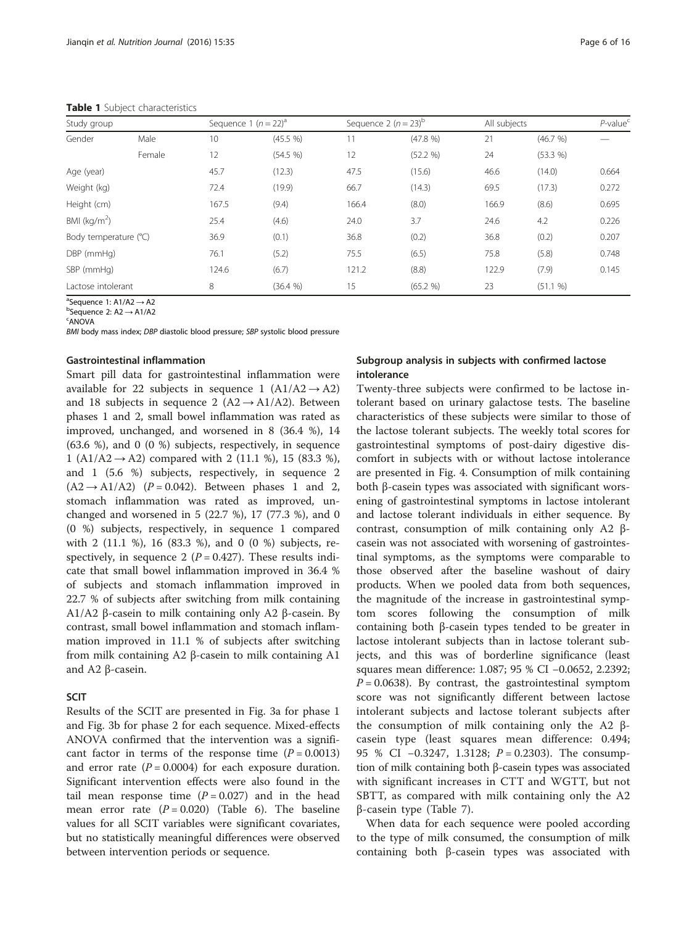<span id="page-5-0"></span>

| Study group           |        | Sequence 1 $(n = 22)^a$ |          |       | Sequence 2 $(n=23)^b$ | All subjects |          | $P$ -value <sup>c</sup> |
|-----------------------|--------|-------------------------|----------|-------|-----------------------|--------------|----------|-------------------------|
| Gender                | Male   | 10                      | (45.5 %) |       | (47.8 %)              | 21           | (46.7 %) |                         |
|                       | Female | 12                      | (54.5 %) | 12    | (52.2 %)              | 24           | (53.3 %) |                         |
| Age (year)            |        | 45.7                    | (12.3)   | 47.5  | (15.6)                | 46.6         | (14.0)   | 0.664                   |
| Weight (kg)           |        | 72.4                    | (19.9)   | 66.7  | (14.3)                | 69.5         | (17.3)   | 0.272                   |
| Height (cm)           |        | 167.5                   | (9.4)    | 166.4 | (8.0)                 | 166.9        | (8.6)    | 0.695                   |
| BMI ( $kg/m2$ )       |        | 25.4                    | (4.6)    | 24.0  | 3.7                   | 24.6         | 4.2      | 0.226                   |
| Body temperature (°C) |        | 36.9                    | (0.1)    | 36.8  | (0.2)                 | 36.8         | (0.2)    | 0.207                   |
| DBP (mmHg)            |        | 76.1                    | (5.2)    | 75.5  | (6.5)                 | 75.8         | (5.8)    | 0.748                   |
| SBP (mmHg)            |        | 124.6                   | (6.7)    | 121.2 | (8.8)                 | 122.9        | (7.9)    | 0.145                   |
| Lactose intolerant    |        | 8                       | (36.4 %) | 15    | (65.2 %)              | 23           | (51.1 %) |                         |

 ${}^{a}$ Sequence 1: A1/A2  $\rightarrow$  A2<br>bSequence 2: A2  $\rightarrow$  A1/A2

<sup>b</sup>Sequence 2: A2 → A1/A2

ANOVA

BMI body mass index; DBP diastolic blood pressure; SBP systolic blood pressure

#### Gastrointestinal inflammation

Smart pill data for gastrointestinal inflammation were available for 22 subjects in sequence 1 (A1/A2  $\rightarrow$  A2) and 18 subjects in sequence 2 ( $A2 \rightarrow A1/A2$ ). Between phases 1 and 2, small bowel inflammation was rated as improved, unchanged, and worsened in 8 (36.4 %), 14 (63.6 %), and 0 (0 %) subjects, respectively, in sequence 1 (A1/A2  $\rightarrow$  A2) compared with 2 (11.1 %), 15 (83.3 %), and 1 (5.6 %) subjects, respectively, in sequence 2  $(A2 \rightarrow A1/A2)$   $(P = 0.042)$ . Between phases 1 and 2, stomach inflammation was rated as improved, unchanged and worsened in 5 (22.7 %), 17 (77.3 %), and 0 (0 %) subjects, respectively, in sequence 1 compared with 2 (11.1 %), 16 (83.3 %), and 0 (0 %) subjects, respectively, in sequence 2 ( $P = 0.427$ ). These results indicate that small bowel inflammation improved in 36.4 % of subjects and stomach inflammation improved in 22.7 % of subjects after switching from milk containing A1/A2 β-casein to milk containing only A2 β-casein. By contrast, small bowel inflammation and stomach inflammation improved in 11.1 % of subjects after switching from milk containing A2 β-casein to milk containing A1 and A2 β-casein.

## **SCIT**

Results of the SCIT are presented in Fig. [3a](#page-11-0) for phase 1 and Fig. [3b](#page-11-0) for phase 2 for each sequence. Mixed-effects ANOVA confirmed that the intervention was a significant factor in terms of the response time  $(P = 0.0013)$ and error rate  $(P = 0.0004)$  for each exposure duration. Significant intervention effects were also found in the tail mean response time  $(P = 0.027)$  and in the head mean error rate  $(P = 0.020)$  (Table [6\)](#page-11-0). The baseline values for all SCIT variables were significant covariates, but no statistically meaningful differences were observed between intervention periods or sequence.

## Subgroup analysis in subjects with confirmed lactose intolerance

Twenty-three subjects were confirmed to be lactose intolerant based on urinary galactose tests. The baseline characteristics of these subjects were similar to those of the lactose tolerant subjects. The weekly total scores for gastrointestinal symptoms of post-dairy digestive discomfort in subjects with or without lactose intolerance are presented in Fig. [4.](#page-12-0) Consumption of milk containing both β-casein types was associated with significant worsening of gastrointestinal symptoms in lactose intolerant and lactose tolerant individuals in either sequence. By contrast, consumption of milk containing only A2 βcasein was not associated with worsening of gastrointestinal symptoms, as the symptoms were comparable to those observed after the baseline washout of dairy products. When we pooled data from both sequences, the magnitude of the increase in gastrointestinal symptom scores following the consumption of milk containing both β-casein types tended to be greater in lactose intolerant subjects than in lactose tolerant subjects, and this was of borderline significance (least squares mean difference: 1.087; 95 % CI −0.0652, 2.2392;  $P = 0.0638$ ). By contrast, the gastrointestinal symptom score was not significantly different between lactose intolerant subjects and lactose tolerant subjects after the consumption of milk containing only the A2 βcasein type (least squares mean difference: 0.494; 95 % CI −0.3247, 1.3128; P = 0.2303). The consumption of milk containing both β-casein types was associated with significant increases in CTT and WGTT, but not SBTT, as compared with milk containing only the A2 β-casein type (Table [7](#page-12-0)).

When data for each sequence were pooled according to the type of milk consumed, the consumption of milk containing both β-casein types was associated with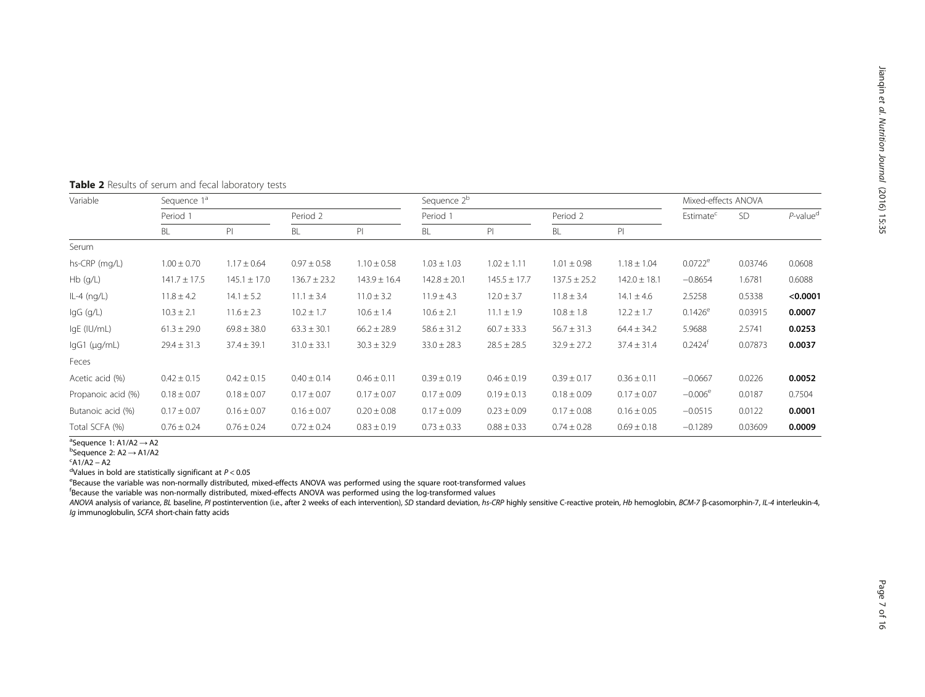| Variable           | Sequence 1ª      |                  |                  | Sequence 2 <sup>b</sup> |                  |                  |                  |                  | Mixed-effects ANOVA   |           |                         |
|--------------------|------------------|------------------|------------------|-------------------------|------------------|------------------|------------------|------------------|-----------------------|-----------|-------------------------|
|                    | Period 1         |                  | Period 2         |                         |                  |                  | Period 2         |                  | Estimate <sup>c</sup> | <b>SD</b> | $P$ -value <sup>d</sup> |
|                    | BL               | PI               | BL               | P                       | BL               | PI               | BL               | PI.              |                       |           |                         |
| Serum              |                  |                  |                  |                         |                  |                  |                  |                  |                       |           |                         |
| hs-CRP (mg/L)      | $1.00 \pm 0.70$  | $1.17 \pm 0.64$  | $0.97 \pm 0.58$  | $1.10 \pm 0.58$         | $1.03 \pm 1.03$  | $1.02 \pm 1.11$  | $1.01 \pm 0.98$  | $1.18 \pm 1.04$  | $0.0722^e$            | 0.03746   | 0.0608                  |
| $Hb$ (q/L)         | $141.7 \pm 17.5$ | $145.1 \pm 17.0$ | $136.7 \pm 23.2$ | $143.9 \pm 16.4$        | $142.8 \pm 20.1$ | $145.5 \pm 17.7$ | $137.5 \pm 25.2$ | $142.0 \pm 18.1$ | $-0.8654$             | 1.6781    | 0.6088                  |
| $IL-4$ (ng/L)      | $11.8 \pm 4.2$   | $14.1 \pm 5.2$   | $11.1 \pm 3.4$   | $11.0 \pm 3.2$          | $11.9 \pm 4.3$   | $12.0 \pm 3.7$   | $11.8 \pm 3.4$   | $14.1 \pm 4.6$   | 2.5258                | 0.5338    | < 0.0001                |
| lgG (g/L)          | $10.3 \pm 2.1$   | $11.6 \pm 2.3$   | $10.2 \pm 1.7$   | $10.6 \pm 1.4$          | $10.6 \pm 2.1$   | $11.1 \pm 1.9$   | $10.8 \pm 1.8$   | $12.2 \pm 1.7$   | $0.1426^e$            | 0.03915   | 0.0007                  |
| IgE (IU/mL)        | $61.3 \pm 29.0$  | $69.8 \pm 38.0$  | $63.3 \pm 30.1$  | $66.2 \pm 28.9$         | $58.6 \pm 31.2$  | $60.7 \pm 33.3$  | $56.7 \pm 31.3$  | $64.4 \pm 34.2$  | 5.9688                | 2.5741    | 0.0253                  |
| lgG1 (µg/mL)       | $29.4 \pm 31.3$  | $37.4 \pm 39.1$  | $31.0 \pm 33.1$  | $30.3 \pm 32.9$         | $33.0 \pm 28.3$  | $28.5 \pm 28.5$  | $32.9 \pm 27.2$  | $37.4 \pm 31.4$  | $0.2424^T$            | 0.07873   | 0.0037                  |
| Feces              |                  |                  |                  |                         |                  |                  |                  |                  |                       |           |                         |
| Acetic acid (%)    | $0.42 \pm 0.15$  | $0.42 \pm 0.15$  | $0.40 \pm 0.14$  | $0.46 \pm 0.11$         | $0.39 \pm 0.19$  | $0.46 \pm 0.19$  | $0.39 \pm 0.17$  | $0.36 \pm 0.11$  | $-0.0667$             | 0.0226    | 0.0052                  |
| Propanoic acid (%) | $0.18 \pm 0.07$  | $0.18 \pm 0.07$  | $0.17 \pm 0.07$  | $0.17 \pm 0.07$         | $0.17 \pm 0.09$  | $0.19 \pm 0.13$  | $0.18 \pm 0.09$  | $0.17 \pm 0.07$  | $-0.006^{\circ}$      | 0.0187    | 0.7504                  |
| Butanoic acid (%)  | $0.17 \pm 0.07$  | $0.16 \pm 0.07$  | $0.16 \pm 0.07$  | $0.20 \pm 0.08$         | $0.17 \pm 0.09$  | $0.23 \pm 0.09$  | $0.17 \pm 0.08$  | $0.16 \pm 0.05$  | $-0.0515$             | 0.0122    | 0.0001                  |
| Total SCFA (%)     | $0.76 \pm 0.24$  | $0.76 \pm 0.24$  | $0.72 \pm 0.24$  | $0.83 \pm 0.19$         | $0.73 \pm 0.33$  | $0.88 \pm 0.33$  | $0.74 \pm 0.28$  | $0.69 \pm 0.18$  | $-0.1289$             | 0.03609   | 0.0009                  |

## <span id="page-6-0"></span>Table 2 Results of serum and fecal laboratory tests

 $\overline{a}$ Sequence 1: A1/A2  $\rightarrow$  A2 <sup>a</sup>Sequence 1: A1/A2 → A2<br><sup>b</sup>Sequence 2: A2 → A1/A2

 $^{\circ}$ Sequence 2: A2  $\rightarrow$  A1/A2<br> $^{\circ}$ A1/A2 – A2

 $A1/A2 - A2$ <br><sup>d</sup>Values in bold are statistically significant at  $P < 0.05$ 

<sup>a</sup>Values in bold are statistically significant at P<0.05<br><sup>e</sup>Because the variable was non-normally distributed, mixed-effects ANOVA was performed using the square root-transformed values

f Because the variable was non-normally distributed, mixed-effects ANOVA was performed using the log-transformed values

ANOVA analysis of variance, BL baseline, PI postintervention (i.e., after 2 weeks of each intervention), SD standard deviation, hs-CRP highly sensitive C-reactive protein, Hb hemoglobin, BCM-7 β-casomorphin-7, IL-4 interl Ig immunoglobulin, SCFA short-chain fatty acids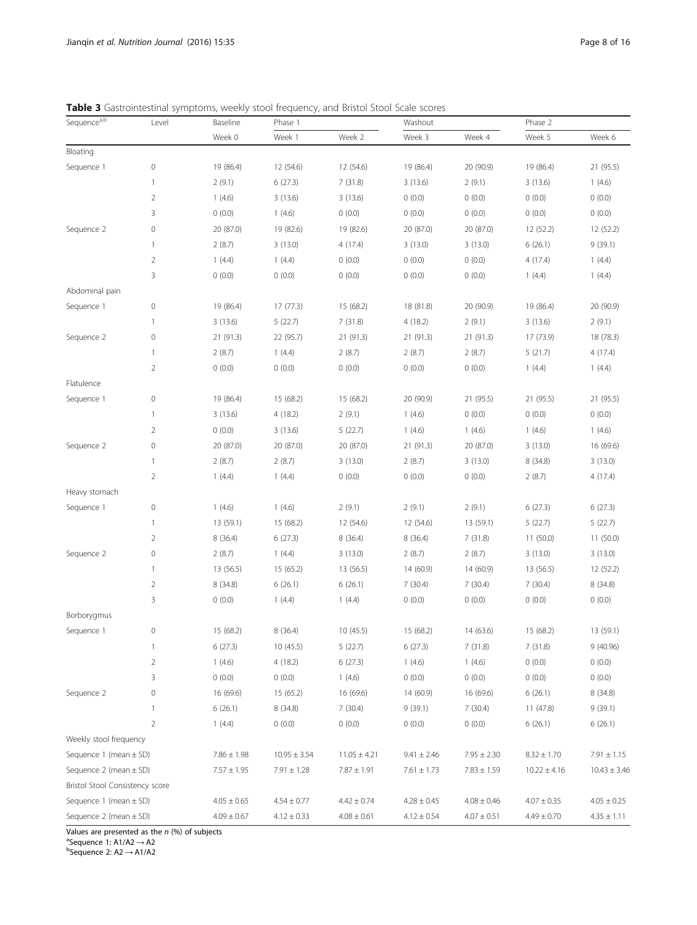<span id="page-7-0"></span>Table 3 Gastrointestinal symptoms, weekly stool frequency, and Bristol Stool Scale scores

| Sequence <sup>a,b</sup>         | Level          | Baseline        | Phase 1          |                  |                 |                 | Phase 2          |                  |
|---------------------------------|----------------|-----------------|------------------|------------------|-----------------|-----------------|------------------|------------------|
|                                 |                | Week 0          | Week 1           | Week 2           | Week 3          | Week 4          | Week 5           | Week 6           |
| Bloating                        |                |                 |                  |                  |                 |                 |                  |                  |
| Sequence 1                      | $\mathbf 0$    | 19 (86.4)       | 12 (54.6)        | 12 (54.6)        | 19 (86.4)       | 20 (90.9)       | 19 (86.4)        | 21 (95.5)        |
|                                 | 1              | 2(9.1)          | 6(27.3)          | 7(31.8)          | 3(13.6)         | 2(9.1)          | 3(13.6)          | 1(4.6)           |
|                                 | $\overline{2}$ | 1(4.6)          | 3(13.6)          | 3(13.6)          | 0(0.0)          | 0(0.0)          | 0(0.0)           | 0(0.0)           |
|                                 | 3              | 0(0.0)          | 1(4.6)           | 0(0.0)           | 0(0.0)          | 0(0.0)          | 0(0.0)           | 0(0.0)           |
| Sequence 2                      | $\mathbf 0$    | 20 (87.0)       | 19 (82.6)        | 19 (82.6)        | 20 (87.0)       | 20 (87.0)       | 12 (52.2)        | 12 (52.2)        |
|                                 | $\mathbf{1}$   | 2(8.7)          | 3(13.0)          | 4(17.4)          | 3(13.0)         | 3(13.0)         | 6(26.1)          | 9(39.1)          |
|                                 | $\overline{2}$ | 1(4.4)          | 1(4.4)           | 0(0.0)           | 0(0.0)          | 0(0.0)          | 4(17.4)          | 1(4.4)           |
|                                 | 3              | 0(0.0)          | 0(0.0)           | 0(0.0)           | 0(0.0)          | 0(0.0)          | 1(4.4)           | 1(4.4)           |
| Abdominal pain                  |                |                 |                  |                  |                 |                 |                  |                  |
| Sequence 1                      | $\mathbf 0$    | 19 (86.4)       | 17(77.3)         | 15 (68.2)        | 18 (81.8)       | 20 (90.9)       | 19 (86.4)        | 20 (90.9)        |
|                                 | 1              | 3(13.6)         | 5(22.7)          | 7(31.8)          | 4(18.2)         | 2(9.1)          | 3(13.6)          | 2(9.1)           |
| Sequence 2                      | $\mathbf 0$    | 21 (91.3)       | 22 (95.7)        | 21 (91.3)        | 21 (91.3)       | 21 (91.3)       | 17 (73.9)        | 18 (78.3)        |
|                                 | $\mathbf{1}$   | 2(8.7)          | 1(4.4)           | 2(8.7)           | 2(8.7)          | 2(8.7)          | 5(21.7)          | 4 (17.4)         |
|                                 | $\overline{2}$ | 0(0.0)          | 0(0.0)           | 0(0.0)           | 0(0.0)          | 0(0.0)          | 1(4.4)           | 1(4.4)           |
| Flatulence                      |                |                 |                  |                  |                 |                 |                  |                  |
| Sequence 1                      | $\mathbf 0$    | 19 (86.4)       | 15 (68.2)        | 15 (68.2)        | 20 (90.9)       | 21 (95.5)       | 21 (95.5)        | 21 (95.5)        |
|                                 | $\mathbf{1}$   | 3(13.6)         | 4(18.2)          | 2(9.1)           | 1(4.6)          | 0(0.0)          | 0(0.0)           | 0(0.0)           |
|                                 | $\overline{2}$ | 0(0.0)          | 3(13.6)          | 5(22.7)          | 1(4.6)          | 1(4.6)          | 1(4.6)           | 1(4.6)           |
| Sequence 2                      | $\mathbf 0$    | 20 (87.0)       | 20 (87.0)        | 20 (87.0)        | 21(91.3)        | 20 (87.0)       | 3(13.0)          | 16 (69.6)        |
|                                 | $\mathbf{1}$   | 2(8.7)          | 2(8.7)           | 3(13.0)          | 2(8.7)          | 3(13.0)         | 8 (34.8)         | 3(13.0)          |
|                                 | $\overline{2}$ | 1(4.4)          | 1(4.4)           | 0(0.0)           | 0(0.0)          | 0(0.0)          | 2(8.7)           | 4 (17.4)         |
| Heavy stomach                   |                |                 |                  |                  |                 |                 |                  |                  |
| Sequence 1                      | $\mathbf 0$    | 1(4.6)          | 1(4.6)           | 2(9.1)           | 2(9.1)          | 2(9.1)          | 6(27.3)          | 6(27.3)          |
|                                 | $\mathbf{1}$   | 13 (59.1)       | 15 (68.2)        | 12 (54.6)        | 12 (54.6)       | 13 (59.1)       | 5(22.7)          | 5(22.7)          |
|                                 | $\overline{2}$ | 8(36.4)         | 6(27.3)          | 8 (36.4)         | 8 (36.4)        | 7(31.8)         | 11 (50.0)        | 11 (50.0)        |
| Sequence 2                      | $\mathbf 0$    | 2(8.7)          | 1(4.4)           | 3(13.0)          | 2(8.7)          | 2(8.7)          | 3(13.0)          | 3(13.0)          |
|                                 | $\mathbf{1}$   | 13 (56.5)       | 15 (65.2)        | 13 (56.5)        | 14 (60.9)       | 14 (60.9)       | 13 (56.5)        | 12 (52.2)        |
|                                 | $\overline{2}$ | 8 (34.8)        | 6(26.1)          | 6(26.1)          | 7(30.4)         | 7(30.4)         | 7(30.4)          | 8 (34.8)         |
|                                 | 3              | 0(0.0)          | 1(4.4)           | 1(4.4)           | 0(0.0)          | 0(0.0)          | 0(0.0)           | 0(0.0)           |
| Borborygmus                     |                |                 |                  |                  |                 |                 |                  |                  |
| Sequence 1                      | $\mathbf 0$    | 15 (68.2)       | 8(36.4)          | 10 (45.5)        | 15 (68.2)       | 14 (63.6)       | 15 (68.2)        | 13 (59.1)        |
|                                 | $\mathbf{1}$   | 6(27.3)         | 10 (45.5)        | 5(22.7)          | 6(27.3)         | 7(31.8)         | 7(31.8)          | 9 (40.96)        |
|                                 | $\overline{c}$ | 1(4.6)          | 4(18.2)          | 6(27.3)          | 1(4.6)          | 1(4.6)          | 0(0.0)           | (0.0)            |
|                                 | 3              | 0(0.0)          | (0.0)            | 1(4.6)           | (0.0)           | 0(0.0)          | (0.0)            | (0.0)            |
| Sequence 2                      | 0              | 16 (69.6)       | 15 (65.2)        | 16 (69.6)        | 14 (60.9)       | 16 (69.6)       | 6(26.1)          | 8 (34.8)         |
|                                 | $\mathbf{1}$   | 6(26.1)         | 8(34.8)          | 7(30.4)          | 9(39.1)         | 7(30.4)         | 11 (47.8)        | 9(39.1)          |
|                                 | $\overline{2}$ | 1(4.4)          | (0.0)            | 0(0.0)           | (0.0)           | 0(0.0)          | 6(26.1)          | 6(26.1)          |
| Weekly stool frequency          |                |                 |                  |                  |                 |                 |                  |                  |
| Sequence 1 (mean $\pm$ SD)      |                | $7.86 \pm 1.98$ | $10.95 \pm 3.54$ | $11.05 \pm 4.21$ | $9.41 \pm 2.46$ | $7.95 \pm 2.30$ | $8.32 \pm 1.70$  | $7.91 \pm 1.15$  |
| Sequence $2$ (mean $\pm$ SD)    |                | $7.57 \pm 1.95$ | $7.91 \pm 1.28$  | $7.87 \pm 1.91$  | $7.61 \pm 1.73$ | $7.83 \pm 1.59$ | $10.22 \pm 4.16$ | $10.43 \pm 3.46$ |
| Bristol Stool Consistency score |                |                 |                  |                  |                 |                 |                  |                  |
| Sequence $1$ (mean $\pm$ SD)    |                | $4.05 \pm 0.65$ | $4.54 \pm 0.77$  | $4.42 \pm 0.74$  | $4.28 \pm 0.45$ | $4.08 \pm 0.46$ | $4.07 \pm 0.35$  | $4.05 \pm 0.25$  |
| Sequence $2$ (mean $\pm$ SD)    |                | $4.09 \pm 0.67$ | $4.12 \pm 0.33$  | $4.08 \pm 0.61$  | $4.12 \pm 0.54$ | $4.07 \pm 0.51$ | $4.49 \pm 0.70$  | $4.35 \pm 1.11$  |

Values are presented as the  $n$  (%) of subjects

ªSequence 1: A1/A2 → A2<br><sup>b</sup>Sequence 2: A2 → A1/A2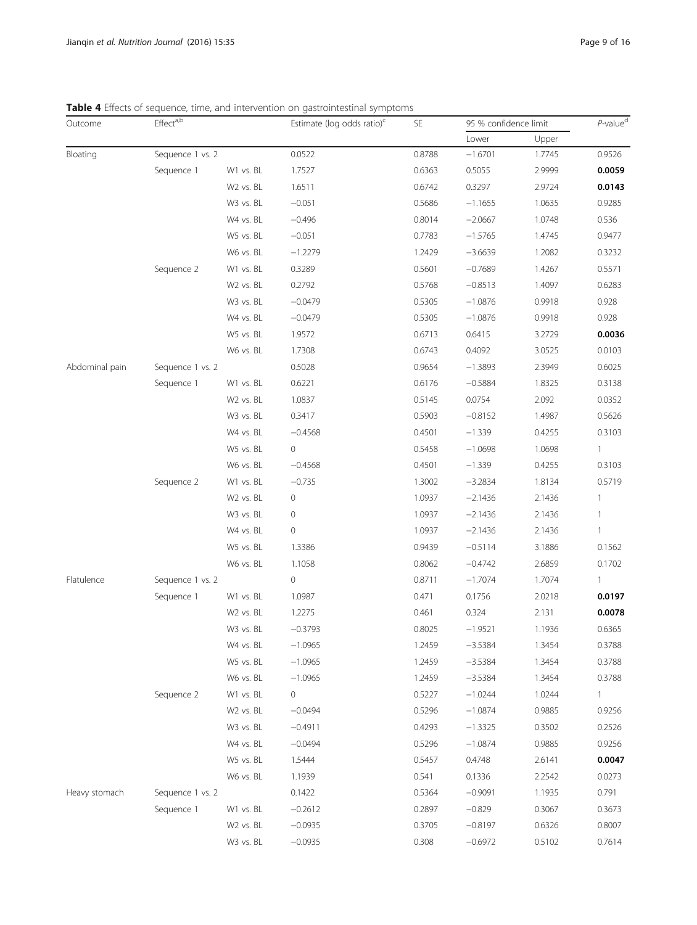| Outcome                                                                        | Effect <sup>a,b</sup> |           | Estimate (log odds ratio) <sup>c</sup> | <b>SE</b>                                                                                                                                                                                                                                                                                                             | 95 % confidence limit | $P$ -value <sup>d</sup> |              |
|--------------------------------------------------------------------------------|-----------------------|-----------|----------------------------------------|-----------------------------------------------------------------------------------------------------------------------------------------------------------------------------------------------------------------------------------------------------------------------------------------------------------------------|-----------------------|-------------------------|--------------|
|                                                                                |                       |           |                                        |                                                                                                                                                                                                                                                                                                                       | Lower                 | Upper                   |              |
| Bloating                                                                       | Sequence 1 vs. 2      |           | 0.0522                                 | 0.8788                                                                                                                                                                                                                                                                                                                | $-1.6701$             | 1.7745                  | 0.9526       |
|                                                                                | Sequence 1            | W1 vs. BL | 1.7527                                 | 0.6363                                                                                                                                                                                                                                                                                                                | 0.5055                | 2.9999                  | 0.0059       |
| <b>SIG</b> T Encels of sequence, anne, and macrition on gasaomassanar symptoms |                       | W2 vs. BL | 1.6511                                 | 0.6742                                                                                                                                                                                                                                                                                                                | 0.3297                | 2.9724                  | 0.0143       |
|                                                                                |                       | W3 vs. BL | $-0.051$                               | 0.5686                                                                                                                                                                                                                                                                                                                | $-1.1655$             | 1.0635                  | 0.9285       |
|                                                                                |                       | W4 vs. BL | $-0.496$                               | 0.8014                                                                                                                                                                                                                                                                                                                | $-2.0667$             | 1.0748                  | 0.536        |
|                                                                                |                       | W5 vs. BL | $-0.051$                               | 0.7783                                                                                                                                                                                                                                                                                                                | $-1.5765$             | 1.4745                  | 0.9477       |
|                                                                                |                       | W6 vs. BL | $-1.2279$                              | 1.2429                                                                                                                                                                                                                                                                                                                | $-3.6639$             | 1.2082                  | 0.3232       |
|                                                                                | Sequence 2            | W1 vs. BL | 0.3289                                 | 0.5601                                                                                                                                                                                                                                                                                                                | $-0.7689$             | 1.4267                  | 0.5571       |
|                                                                                |                       | W2 vs. BL | 0.2792                                 | 0.5768                                                                                                                                                                                                                                                                                                                | $-0.8513$             | 1.4097                  | 0.6283       |
|                                                                                |                       | W3 vs. BL | $-0.0479$                              | 0.5305                                                                                                                                                                                                                                                                                                                | $-1.0876$             | 0.9918                  | 0.928        |
|                                                                                |                       | W4 vs. BL | $-0.0479$                              | 0.5305                                                                                                                                                                                                                                                                                                                | $-1.0876$             | 0.9918                  | 0.928        |
|                                                                                |                       | W5 vs. BL | 1.9572                                 | 0.6713                                                                                                                                                                                                                                                                                                                | 0.6415                | 3.2729                  | 0.0036       |
|                                                                                |                       | W6 vs. BL | 1.7308                                 | 0.6743                                                                                                                                                                                                                                                                                                                | 0.4092                | 3.0525                  | 0.0103       |
| Abdominal pain                                                                 | Sequence 1 vs. 2      |           | 0.5028                                 | 0.9654                                                                                                                                                                                                                                                                                                                | $-1.3893$             | 2.3949                  | 0.6025       |
|                                                                                | Sequence 1            | W1 vs. BL | 0.6221                                 | 0.6176                                                                                                                                                                                                                                                                                                                | $-0.5884$             | 1.8325                  | 0.3138       |
|                                                                                |                       | W2 vs. BL | 1.0837                                 | 0.5145                                                                                                                                                                                                                                                                                                                | 0.0754                | 2.092                   | 0.0352       |
|                                                                                |                       | W3 vs. BL | 0.3417                                 | 0.5903                                                                                                                                                                                                                                                                                                                | $-0.8152$             | 1.4987                  | 0.5626       |
|                                                                                |                       | W4 vs. BL | $-0.4568$                              | 0.4501                                                                                                                                                                                                                                                                                                                | $-1.339$              | 0.4255                  | 0.3103       |
|                                                                                |                       | W5 vs. BL | $\circ$                                | 0.5458                                                                                                                                                                                                                                                                                                                | $-1.0698$             | 1.0698                  | $\mathbf{1}$ |
|                                                                                |                       | W6 vs. BL | $-0.4568$                              | 0.4501                                                                                                                                                                                                                                                                                                                | $-1.339$              | 0.4255                  | 0.3103       |
|                                                                                | Sequence 2            | W1 vs. BL | $-0.735$                               | 1.3002                                                                                                                                                                                                                                                                                                                | $-3.2834$             | 1.8134                  | 0.5719       |
|                                                                                |                       | W2 vs. BL | 0                                      | 1.0937                                                                                                                                                                                                                                                                                                                | $-2.1436$             | 2.1436                  | 1            |
|                                                                                |                       | W3 vs. BL | 0                                      | 1.0937                                                                                                                                                                                                                                                                                                                | $-2.1436$             | 2.1436                  | $\mathbf{1}$ |
|                                                                                |                       | W4 vs. BL | 0                                      | 1.0937                                                                                                                                                                                                                                                                                                                | $-2.1436$             | 2.1436                  | $\mathbf{1}$ |
|                                                                                |                       | W5 vs. BL | 1.3386                                 | 0.9439                                                                                                                                                                                                                                                                                                                | $-0.5114$             | 3.1886                  | 0.1562       |
|                                                                                |                       | W6 vs. BL | 1.1058                                 | 0.8062                                                                                                                                                                                                                                                                                                                | $-0.4742$             | 2.6859                  | 0.1702       |
| Flatulence                                                                     | Sequence 1 vs. 2      |           | $\circ$                                | 0.8711                                                                                                                                                                                                                                                                                                                | $-1.7074$             | 1.7074                  | $\mathbf{1}$ |
|                                                                                | Sequence 1            | W1 vs. BL | 1.0987                                 | 0.471                                                                                                                                                                                                                                                                                                                 | 0.1756                | 2.0218                  | 0.0197       |
|                                                                                |                       | W2 vs. BL | 1.2275                                 | 0.461                                                                                                                                                                                                                                                                                                                 | 0.324                 | 2.131                   | 0.0078       |
|                                                                                |                       | W3 vs. BL | $-0.3793$                              | 0.8025<br>$-1.9521$<br>1.2459<br>$-3.5384$<br>$-3.5384$<br>1.2459<br>1.2459<br>$-3.5384$<br>0.5227<br>$-1.0244$<br>0.5296<br>$-1.0874$<br>0.4293<br>$-1.3325$<br>0.5296<br>$-1.0874$<br>0.4748<br>0.5457<br>0.541<br>0.1336<br>0.5364<br>$-0.9091$<br>0.2897<br>$-0.829$<br>0.3705<br>$-0.8197$<br>0.308<br>$-0.6972$ | 1.1936                | 0.6365                  |              |
|                                                                                |                       | W4 vs. BL | $-1.0965$                              |                                                                                                                                                                                                                                                                                                                       |                       | 1.3454                  | 0.3788       |
|                                                                                |                       | W5 vs. BL | $-1.0965$                              |                                                                                                                                                                                                                                                                                                                       |                       | 1.3454                  | 0.3788       |
|                                                                                |                       | W6 vs. BL | $-1.0965$                              |                                                                                                                                                                                                                                                                                                                       |                       | 1.3454                  | 0.3788       |
|                                                                                | Sequence 2            | W1 vs. BL | 0                                      |                                                                                                                                                                                                                                                                                                                       |                       | 1.0244                  | $\mathbf{1}$ |
|                                                                                |                       | W2 vs. BL | $-0.0494$                              |                                                                                                                                                                                                                                                                                                                       |                       | 0.9885                  | 0.9256       |
|                                                                                |                       | W3 vs. BL | $-0.4911$                              |                                                                                                                                                                                                                                                                                                                       |                       | 0.3502                  | 0.2526       |
|                                                                                |                       | W4 vs. BL | $-0.0494$                              |                                                                                                                                                                                                                                                                                                                       |                       | 0.9885                  | 0.9256       |
|                                                                                |                       | W5 vs. BL | 1.5444                                 |                                                                                                                                                                                                                                                                                                                       |                       | 2.6141                  | 0.0047       |
|                                                                                |                       | W6 vs. BL | 1.1939                                 |                                                                                                                                                                                                                                                                                                                       |                       | 2.2542                  | 0.0273       |
| Heavy stomach                                                                  | Sequence 1 vs. 2      |           | 0.1422                                 |                                                                                                                                                                                                                                                                                                                       |                       | 1.1935                  | 0.791        |
|                                                                                | Sequence 1            | W1 vs. BL | $-0.2612$                              |                                                                                                                                                                                                                                                                                                                       |                       | 0.3067                  | 0.3673       |
|                                                                                |                       | W2 vs. BL | $-0.0935$                              |                                                                                                                                                                                                                                                                                                                       |                       | 0.6326                  | 0.8007       |
|                                                                                |                       | W3 vs. BL | $-0.0935$                              |                                                                                                                                                                                                                                                                                                                       |                       | 0.5102                  | 0.7614       |

<span id="page-8-0"></span>Table 4 Effects of sequence, time, and intervention on gastrointestinal symptoms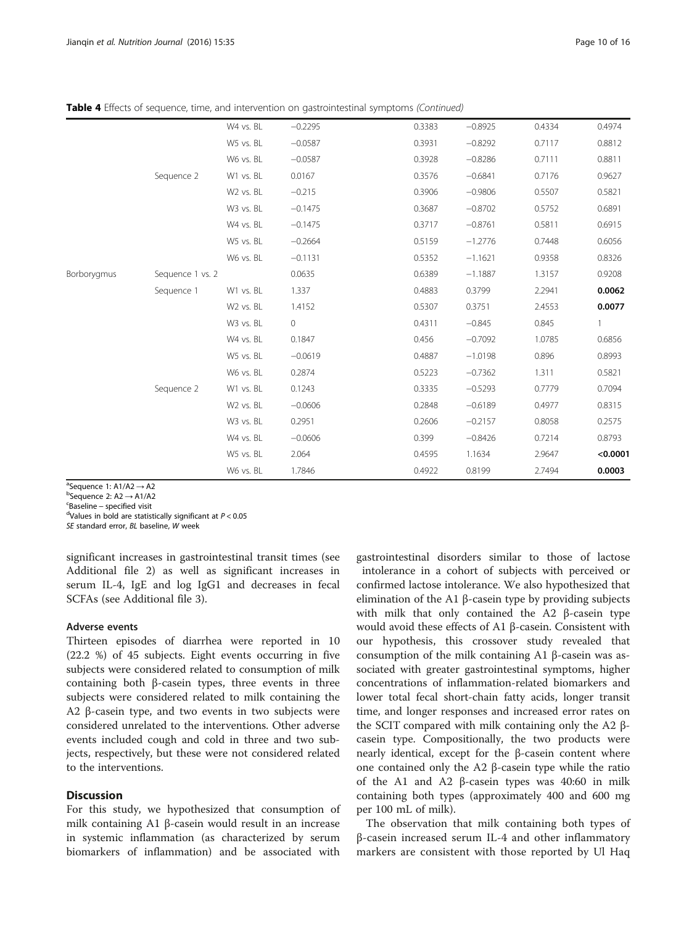Table 4 Effects of sequence, time, and intervention on gastrointestinal symptoms (Continued)

|             |                  | W4 vs. BL             | $-0.2295$   | 0.3383 | $-0.8925$ | 0.4334 | 0.4974   |
|-------------|------------------|-----------------------|-------------|--------|-----------|--------|----------|
|             |                  | W5 vs. BL             | $-0.0587$   | 0.3931 | $-0.8292$ | 0.7117 | 0.8812   |
|             |                  | W6 vs. BL             | $-0.0587$   | 0.3928 | $-0.8286$ | 0.7111 | 0.8811   |
|             | Sequence 2       | W1 vs. BL             | 0.0167      | 0.3576 | $-0.6841$ | 0.7176 | 0.9627   |
|             |                  | W2 vs. BL             | $-0.215$    | 0.3906 | $-0.9806$ | 0.5507 | 0.5821   |
|             |                  | W3 vs. BL             | $-0.1475$   | 0.3687 | $-0.8702$ | 0.5752 | 0.6891   |
|             |                  | W4 vs. BL             | $-0.1475$   | 0.3717 | $-0.8761$ | 0.5811 | 0.6915   |
|             |                  | W5 vs. BL             | $-0.2664$   | 0.5159 | $-1.2776$ | 0.7448 | 0.6056   |
|             |                  | W6 vs. BL             | $-0.1131$   | 0.5352 | $-1.1621$ | 0.9358 | 0.8326   |
| Borborygmus | Sequence 1 vs. 2 |                       | 0.0635      | 0.6389 | $-1.1887$ | 1.3157 | 0.9208   |
|             | Sequence 1       | W1 vs. BL             | 1.337       | 0.4883 | 0.3799    | 2.2941 | 0.0062   |
|             |                  | W <sub>2</sub> vs. BL | 1.4152      | 0.5307 | 0.3751    | 2.4553 | 0.0077   |
|             |                  | W3 vs. BL             | $\mathbf 0$ | 0.4311 | $-0.845$  | 0.845  |          |
|             |                  | W4 vs. BL             | 0.1847      | 0.456  | $-0.7092$ | 1.0785 | 0.6856   |
|             |                  | W5 vs. BL             | $-0.0619$   | 0.4887 | $-1.0198$ | 0.896  | 0.8993   |
|             |                  | W6 vs. BL             | 0.2874      | 0.5223 | $-0.7362$ | 1.311  | 0.5821   |
|             | Sequence 2       | W1 vs. BL             | 0.1243      | 0.3335 | $-0.5293$ | 0.7779 | 0.7094   |
|             |                  | W2 vs. BL             | $-0.0606$   | 0.2848 | $-0.6189$ | 0.4977 | 0.8315   |
|             |                  | W3 vs. BL             | 0.2951      | 0.2606 | $-0.2157$ | 0.8058 | 0.2575   |
|             |                  | W4 vs. BL             | $-0.0606$   | 0.399  | $-0.8426$ | 0.7214 | 0.8793   |
|             |                  | W5 vs. BL             | 2.064       | 0.4595 | 1.1634    | 2.9647 | < 0.0001 |
|             |                  | W6 vs. BL             | 1.7846      | 0.4922 | 0.8199    | 2.7494 | 0.0003   |

 ${}^{a}$ Sequence 1: A1/A2  $\rightarrow$  A2

 $b$ Sequence 2: A2  $\rightarrow$  A1/A2

<sup>c</sup>Baseline – specified visit

<sup>d</sup>Values in bold are statistically significant at  $P < 0.05$ 

SE standard error, BL baseline, W week

significant increases in gastrointestinal transit times (see Additional file [2\)](#page-14-0) as well as significant increases in serum IL-4, IgE and log IgG1 and decreases in fecal SCFAs (see Additional file [3\)](#page-14-0).

## Adverse events

Thirteen episodes of diarrhea were reported in 10 (22.2 %) of 45 subjects. Eight events occurring in five subjects were considered related to consumption of milk containing both β-casein types, three events in three subjects were considered related to milk containing the A2 β-casein type, and two events in two subjects were considered unrelated to the interventions. Other adverse events included cough and cold in three and two subjects, respectively, but these were not considered related to the interventions.

## **Discussion**

For this study, we hypothesized that consumption of milk containing A1 β-casein would result in an increase in systemic inflammation (as characterized by serum biomarkers of inflammation) and be associated with

gastrointestinal disorders similar to those of lactose intolerance in a cohort of subjects with perceived or confirmed lactose intolerance. We also hypothesized that elimination of the A1 β-casein type by providing subjects with milk that only contained the A2 β-casein type would avoid these effects of A1 β-casein. Consistent with our hypothesis, this crossover study revealed that consumption of the milk containing A1 β-casein was associated with greater gastrointestinal symptoms, higher concentrations of inflammation-related biomarkers and lower total fecal short-chain fatty acids, longer transit time, and longer responses and increased error rates on the SCIT compared with milk containing only the A2 βcasein type. Compositionally, the two products were nearly identical, except for the β-casein content where one contained only the A2 β-casein type while the ratio of the A1 and A2 β-casein types was 40:60 in milk containing both types (approximately 400 and 600 mg per 100 mL of milk).

The observation that milk containing both types of β-casein increased serum IL-4 and other inflammatory markers are consistent with those reported by Ul Haq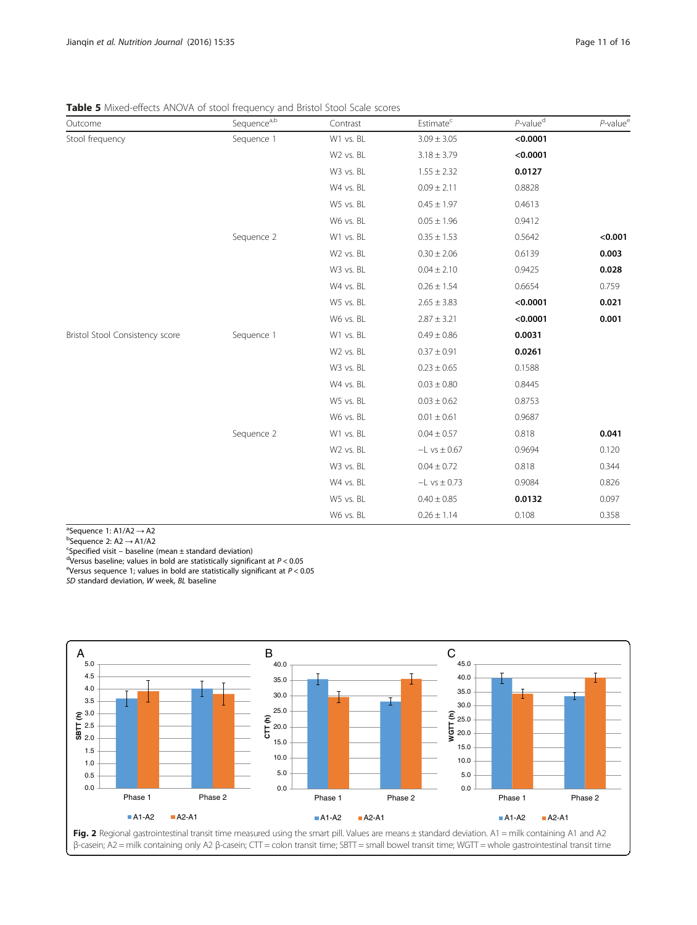<span id="page-10-0"></span>Table 5 Mixed-effects ANOVA of stool frequency and Bristol Stool Scale scores

| Outcome                         | Sequence <sup>a,b</sup> | Contrast              | Estimate <sup>c</sup> | $P$ -value <sup>d</sup> | $P$ -value <sup>e</sup> |
|---------------------------------|-------------------------|-----------------------|-----------------------|-------------------------|-------------------------|
| Stool frequency                 | Sequence 1              | W1 vs. BL             | $3.09 \pm 3.05$       | < 0.0001                |                         |
|                                 |                         | W <sub>2</sub> vs. BL | $3.18 \pm 3.79$       | < 0.0001                |                         |
|                                 |                         | W3 vs. BL             | $1.55 \pm 2.32$       | 0.0127                  |                         |
|                                 |                         | W4 vs. BL             | $0.09 \pm 2.11$       | 0.8828                  |                         |
|                                 |                         | W5 vs. BL             | $0.45 \pm 1.97$       | 0.4613                  |                         |
|                                 |                         | W6 vs. BL             | $0.05 \pm 1.96$       | 0.9412                  |                         |
|                                 | Sequence 2              | W1 vs. BL             | $0.35 \pm 1.53$       | 0.5642                  | < 0.001                 |
|                                 |                         | W2 vs. BL             | $0.30 \pm 2.06$       | 0.6139                  | 0.003                   |
|                                 |                         | W3 vs. BL             | $0.04 \pm 2.10$       | 0.9425                  | 0.028                   |
|                                 |                         | W4 vs. BL             | $0.26 \pm 1.54$       | 0.6654                  | 0.759                   |
|                                 |                         | W5 vs. BL             | $2.65 \pm 3.83$       | < 0.0001                | 0.021                   |
|                                 |                         | W6 vs. BL             | $2.87 \pm 3.21$       | < 0.0001                | 0.001                   |
| Bristol Stool Consistency score | Sequence 1              | W1 vs. BL             | $0.49 \pm 0.86$       | 0.0031                  |                         |
|                                 |                         | W <sub>2</sub> vs. BL | $0.37 \pm 0.91$       | 0.0261                  |                         |
|                                 |                         | W3 vs. BL             | $0.23 \pm 0.65$       | 0.1588                  |                         |
|                                 |                         | W4 vs. BL             | $0.03 \pm 0.80$       | 0.8445                  |                         |
|                                 |                         | W5 vs. BL             | $0.03 \pm 0.62$       | 0.8753                  |                         |
|                                 |                         | W6 vs. BL             | $0.01 \pm 0.61$       | 0.9687                  |                         |
|                                 | Sequence 2              | W1 vs. BL             | $0.04 \pm 0.57$       | 0.818                   | 0.041                   |
|                                 |                         | W2 vs. BL             | $-L$ vs $\pm$ 0.67    | 0.9694                  | 0.120                   |
|                                 |                         | W3 vs. BL             | $0.04 \pm 0.72$       | 0.818                   | 0.344                   |
|                                 |                         | W4 vs. BL             | $-L$ vs $\pm$ 0.73    | 0.9084                  | 0.826                   |
|                                 |                         | W5 vs. BL             | $0.40 \pm 0.85$       | 0.0132                  | 0.097                   |
|                                 |                         | W6 vs. BL             | $0.26 \pm 1.14$       | 0.108                   | 0.358                   |

<sup>a</sup>Sequence 1: A1/A2  $\rightarrow$  A2 <sup>a</sup>Sequence 1: A1/A2 → A2<br><sup>b</sup>Sequence 2: A2 → A1/A2

<sup>b</sup>Sequence 2: A2 → A1/A2<br><sup>c</sup>Specified visit — baseline

 $c$ Specified visit – baseline (mean  $\pm$  standard deviation)

<sup>d</sup>Versus baseline; values in bold are statistically significant at  $P < 0.05$ 

<sup>e</sup>Versus sequence 1; values in bold are statistically significant at  $P < 0.05$ 

SD standard deviation, W week, BL baseline

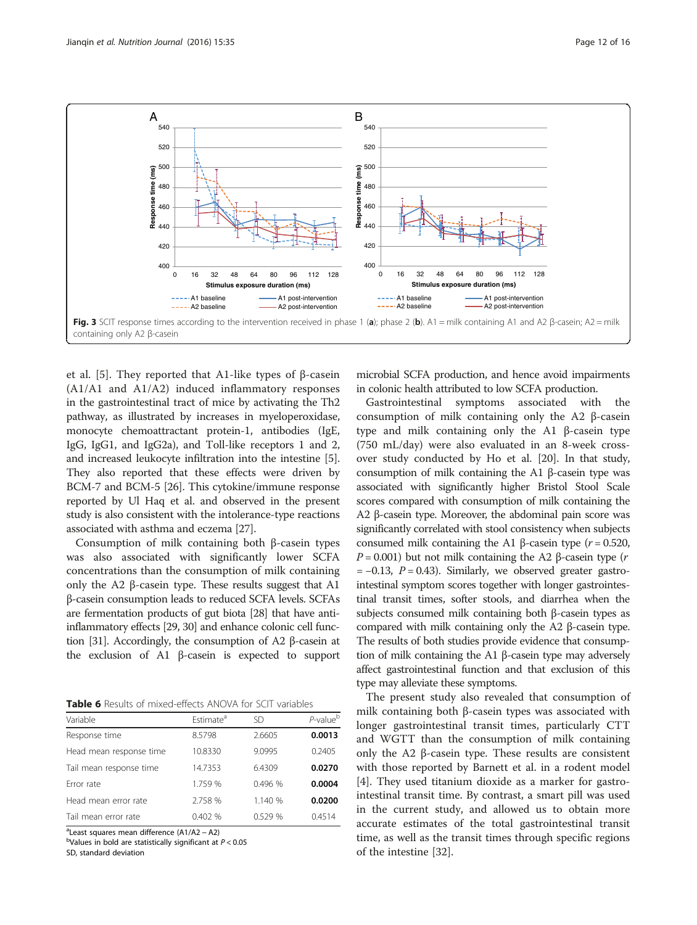<span id="page-11-0"></span>

et al. [[5\]](#page-14-0). They reported that A1-like types of β-casein (A1/A1 and A1/A2) induced inflammatory responses in the gastrointestinal tract of mice by activating the Th2 pathway, as illustrated by increases in myeloperoxidase, monocyte chemoattractant protein-1, antibodies (IgE, IgG, IgG1, and IgG2a), and Toll-like receptors 1 and 2, and increased leukocyte infiltration into the intestine [[5](#page-14-0)]. They also reported that these effects were driven by BCM-7 and BCM-5 [\[26\]](#page-14-0). This cytokine/immune response reported by Ul Haq et al. and observed in the present study is also consistent with the intolerance-type reactions associated with asthma and eczema [\[27\]](#page-15-0).

Consumption of milk containing both β-casein types was also associated with significantly lower SCFA concentrations than the consumption of milk containing only the A2 β-casein type. These results suggest that A1 β-casein consumption leads to reduced SCFA levels. SCFAs are fermentation products of gut biota [[28\]](#page-15-0) that have antiinflammatory effects [\[29, 30\]](#page-15-0) and enhance colonic cell function [\[31](#page-15-0)]. Accordingly, the consumption of A2 β-casein at the exclusion of A1 β-casein is expected to support

Table 6 Results of mixed-effects ANOVA for SCIT variables

| Variable                | Estimate <sup>a</sup> | SD      | $P$ -value $^{\rm b}$ |
|-------------------------|-----------------------|---------|-----------------------|
| Response time           | 8.5798                | 2.6605  | 0.0013                |
| Head mean response time | 10.8330               | 9.0995  | 0.2405                |
| Tail mean response time | 14.7353               | 6.4309  | 0.0270                |
| Error rate              | 1.759 %               | 0.496%  | 0.0004                |
| Head mean error rate    | 2.758 %               | 1.140 % | 0.0200                |
| Tail mean error rate    | 0.402 %               | 0.529%  | 0.4514                |
|                         |                       |         |                       |

<sup>a</sup>Least squares mean difference (A1/A2 – A2)<br><sup>b</sup>Values in bold are statistically cignificant at

 $b$ Values in bold are statistically significant at  $P < 0.05$ 

SD, standard deviation

microbial SCFA production, and hence avoid impairments in colonic health attributed to low SCFA production.

Gastrointestinal symptoms associated with the consumption of milk containing only the A2 β-casein type and milk containing only the A1 β-casein type (750 mL/day) were also evaluated in an 8-week crossover study conducted by Ho et al. [[20\]](#page-14-0). In that study, consumption of milk containing the A1 β-casein type was associated with significantly higher Bristol Stool Scale scores compared with consumption of milk containing the A2 β-casein type. Moreover, the abdominal pain score was significantly correlated with stool consistency when subjects consumed milk containing the A1 β-casein type ( $r = 0.520$ ,  $P = 0.001$ ) but not milk containing the A2 β-casein type (*r*  $= -0.13$ ,  $P = 0.43$ ). Similarly, we observed greater gastrointestinal symptom scores together with longer gastrointestinal transit times, softer stools, and diarrhea when the subjects consumed milk containing both β-casein types as compared with milk containing only the A2 β-casein type. The results of both studies provide evidence that consumption of milk containing the A1 β-casein type may adversely affect gastrointestinal function and that exclusion of this type may alleviate these symptoms.

The present study also revealed that consumption of milk containing both β-casein types was associated with longer gastrointestinal transit times, particularly CTT and WGTT than the consumption of milk containing only the A2 β-casein type. These results are consistent with those reported by Barnett et al. in a rodent model [[4\]](#page-14-0). They used titanium dioxide as a marker for gastrointestinal transit time. By contrast, a smart pill was used in the current study, and allowed us to obtain more accurate estimates of the total gastrointestinal transit time, as well as the transit times through specific regions of the intestine [\[32](#page-15-0)].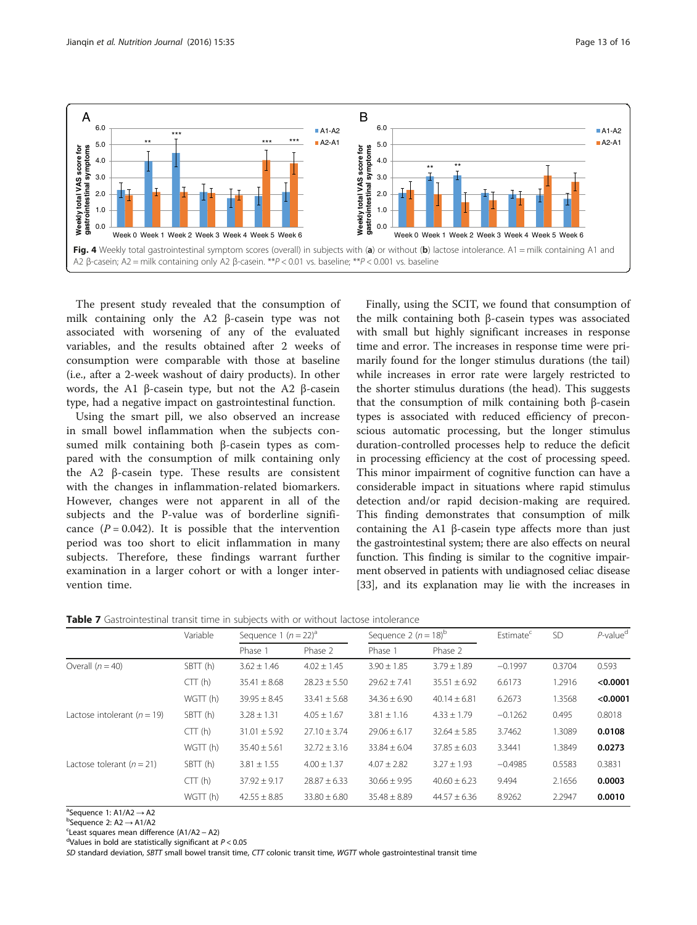<span id="page-12-0"></span>

The present study revealed that the consumption of milk containing only the A2 β-casein type was not associated with worsening of any of the evaluated variables, and the results obtained after 2 weeks of consumption were comparable with those at baseline (i.e., after a 2-week washout of dairy products). In other words, the A1 β-casein type, but not the A2 β-casein type, had a negative impact on gastrointestinal function.

Using the smart pill, we also observed an increase in small bowel inflammation when the subjects consumed milk containing both β-casein types as compared with the consumption of milk containing only the A2 β-casein type. These results are consistent with the changes in inflammation-related biomarkers. However, changes were not apparent in all of the subjects and the P-value was of borderline significance  $(P = 0.042)$ . It is possible that the intervention period was too short to elicit inflammation in many subjects. Therefore, these findings warrant further examination in a larger cohort or with a longer intervention time.

Finally, using the SCIT, we found that consumption of the milk containing both β-casein types was associated with small but highly significant increases in response time and error. The increases in response time were primarily found for the longer stimulus durations (the tail) while increases in error rate were largely restricted to the shorter stimulus durations (the head). This suggests that the consumption of milk containing both β-casein types is associated with reduced efficiency of preconscious automatic processing, but the longer stimulus duration-controlled processes help to reduce the deficit in processing efficiency at the cost of processing speed. This minor impairment of cognitive function can have a considerable impact in situations where rapid stimulus detection and/or rapid decision-making are required. This finding demonstrates that consumption of milk containing the A1 β-casein type affects more than just the gastrointestinal system; there are also effects on neural function. This finding is similar to the cognitive impairment observed in patients with undiagnosed celiac disease [[33](#page-15-0)], and its explanation may lie with the increases in

|  | <b>Table 7</b> Gastrointestinal transit time in subiects with or without lactose intolerance |  |  |  |  |  |  |
|--|----------------------------------------------------------------------------------------------|--|--|--|--|--|--|
|--|----------------------------------------------------------------------------------------------|--|--|--|--|--|--|

|                                 | Variable | Sequence 1 $(n = 22)^a$ |                  |                  | Sequence 2 $(n = 18)^{b}$ |           | <b>SD</b> | $P$ -value <sup>d</sup> |
|---------------------------------|----------|-------------------------|------------------|------------------|---------------------------|-----------|-----------|-------------------------|
|                                 |          | Phase 1                 | Phase 2          | Phase 1          | Phase 2                   |           |           |                         |
| Overall $(n = 40)$              | SBTT (h) | $3.62 \pm 1.46$         | $4.02 \pm 1.45$  | $3.90 \pm 1.85$  | $3.79 \pm 1.89$           | $-0.1997$ | 0.3704    | 0.593                   |
|                                 | CTT(h)   | $35.41 \pm 8.68$        | $28.23 \pm 5.50$ | $29.62 \pm 7.41$ | $35.51 \pm 6.92$          | 6.6173    | 1.2916    | < 0.0001                |
|                                 | WGTT (h) | $39.95 \pm 8.45$        | $33.41 \pm 5.68$ | $34.36 \pm 6.90$ | $40.14 \pm 6.81$          | 6.2673    | 1.3568    | < 0.0001                |
| Lactose intolerant ( $n = 19$ ) | SBTT (h) | $3.28 \pm 1.31$         | $4.05 \pm 1.67$  | $3.81 \pm 1.16$  | $4.33 \pm 1.79$           | $-0.1262$ | 0.495     | 0.8018                  |
|                                 | CTT(h)   | $31.01 \pm 5.92$        | $27.10 \pm 3.74$ | $29.06 \pm 6.17$ | $32.64 \pm 5.85$          | 3.7462    | 1.3089    | 0.0108                  |
|                                 | WGTT (h) | $35.40 \pm 5.61$        | $32.72 \pm 3.16$ | $33.84 \pm 6.04$ | $37.85 \pm 6.03$          | 3.3441    | 1.3849    | 0.0273                  |
| Lactose tolerant $(n = 21)$     | SBTT (h) | $3.81 \pm 1.55$         | $4.00 \pm 1.37$  | $4.07 \pm 2.82$  | $3.27 \pm 1.93$           | $-0.4985$ | 0.5583    | 0.3831                  |
|                                 | CTT(h)   | $37.92 \pm 9.17$        | $28.87 \pm 6.33$ | $30.66 \pm 9.95$ | $40.60 \pm 6.23$          | 9.494     | 2.1656    | 0.0003                  |
|                                 | WGTT (h) | $42.55 \pm 8.85$        | $33.80 \pm 6.80$ | $35.48 \pm 8.89$ | $44.57 \pm 6.36$          | 8.9262    | 2.2947    | 0.0010                  |

 ${}^{a}$ Sequence 1: A1/A2  $\rightarrow$  A2<br>bSequence 2: A2  $\rightarrow$  A1/A2

 $b$ Sequence 2: A2  $\rightarrow$  A1/A2

<sup>c</sup>Least squares mean difference (A1/A2 – A2)

<sup>d</sup>Values in bold are statistically significant at  $P < 0.05$ 

SD standard deviation, SBTT small bowel transit time, CTT colonic transit time, WGTT whole gastrointestinal transit time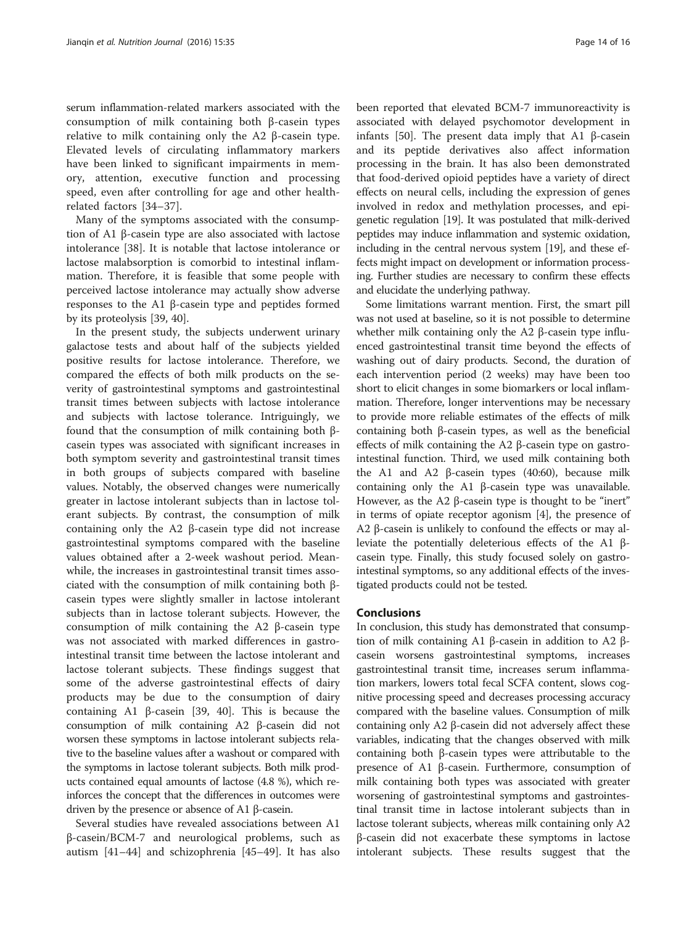serum inflammation-related markers associated with the consumption of milk containing both β-casein types relative to milk containing only the A2 β-casein type. Elevated levels of circulating inflammatory markers have been linked to significant impairments in memory, attention, executive function and processing speed, even after controlling for age and other healthrelated factors [\[34](#page-15-0)–[37](#page-15-0)].

Many of the symptoms associated with the consumption of A1 β-casein type are also associated with lactose intolerance [[38\]](#page-15-0). It is notable that lactose intolerance or lactose malabsorption is comorbid to intestinal inflammation. Therefore, it is feasible that some people with perceived lactose intolerance may actually show adverse responses to the A1 β-casein type and peptides formed by its proteolysis [[39](#page-15-0), [40](#page-15-0)].

In the present study, the subjects underwent urinary galactose tests and about half of the subjects yielded positive results for lactose intolerance. Therefore, we compared the effects of both milk products on the severity of gastrointestinal symptoms and gastrointestinal transit times between subjects with lactose intolerance and subjects with lactose tolerance. Intriguingly, we found that the consumption of milk containing both βcasein types was associated with significant increases in both symptom severity and gastrointestinal transit times in both groups of subjects compared with baseline values. Notably, the observed changes were numerically greater in lactose intolerant subjects than in lactose tolerant subjects. By contrast, the consumption of milk containing only the A2 β-casein type did not increase gastrointestinal symptoms compared with the baseline values obtained after a 2-week washout period. Meanwhile, the increases in gastrointestinal transit times associated with the consumption of milk containing both βcasein types were slightly smaller in lactose intolerant subjects than in lactose tolerant subjects. However, the consumption of milk containing the A2 β-casein type was not associated with marked differences in gastrointestinal transit time between the lactose intolerant and lactose tolerant subjects. These findings suggest that some of the adverse gastrointestinal effects of dairy products may be due to the consumption of dairy containing A1 β-casein [\[39, 40](#page-15-0)]. This is because the consumption of milk containing A2 β-casein did not worsen these symptoms in lactose intolerant subjects relative to the baseline values after a washout or compared with the symptoms in lactose tolerant subjects. Both milk products contained equal amounts of lactose (4.8 %), which reinforces the concept that the differences in outcomes were driven by the presence or absence of A1 β-casein.

Several studies have revealed associations between A1 β-casein/BCM-7 and neurological problems, such as autism [\[41](#page-15-0)–[44\]](#page-15-0) and schizophrenia [[45](#page-15-0)–[49](#page-15-0)]. It has also been reported that elevated BCM-7 immunoreactivity is associated with delayed psychomotor development in infants [[50](#page-15-0)]. The present data imply that A1 β-casein and its peptide derivatives also affect information processing in the brain. It has also been demonstrated that food-derived opioid peptides have a variety of direct effects on neural cells, including the expression of genes involved in redox and methylation processes, and epigenetic regulation [[19\]](#page-14-0). It was postulated that milk-derived peptides may induce inflammation and systemic oxidation, including in the central nervous system [\[19](#page-14-0)], and these effects might impact on development or information processing. Further studies are necessary to confirm these effects and elucidate the underlying pathway.

Some limitations warrant mention. First, the smart pill was not used at baseline, so it is not possible to determine whether milk containing only the A2 β-casein type influenced gastrointestinal transit time beyond the effects of washing out of dairy products. Second, the duration of each intervention period (2 weeks) may have been too short to elicit changes in some biomarkers or local inflammation. Therefore, longer interventions may be necessary to provide more reliable estimates of the effects of milk containing both β-casein types, as well as the beneficial effects of milk containing the A2 β-casein type on gastrointestinal function. Third, we used milk containing both the A1 and A2 β-casein types  $(40:60)$ , because milk containing only the A1 β-casein type was unavailable. However, as the A2 β-casein type is thought to be "inert" in terms of opiate receptor agonism [\[4](#page-14-0)], the presence of A2 β-casein is unlikely to confound the effects or may alleviate the potentially deleterious effects of the A1 βcasein type. Finally, this study focused solely on gastrointestinal symptoms, so any additional effects of the investigated products could not be tested.

#### Conclusions

In conclusion, this study has demonstrated that consumption of milk containing A1 β-casein in addition to A2 βcasein worsens gastrointestinal symptoms, increases gastrointestinal transit time, increases serum inflammation markers, lowers total fecal SCFA content, slows cognitive processing speed and decreases processing accuracy compared with the baseline values. Consumption of milk containing only A2 β-casein did not adversely affect these variables, indicating that the changes observed with milk containing both β-casein types were attributable to the presence of A1 β-casein. Furthermore, consumption of milk containing both types was associated with greater worsening of gastrointestinal symptoms and gastrointestinal transit time in lactose intolerant subjects than in lactose tolerant subjects, whereas milk containing only A2 β-casein did not exacerbate these symptoms in lactose intolerant subjects. These results suggest that the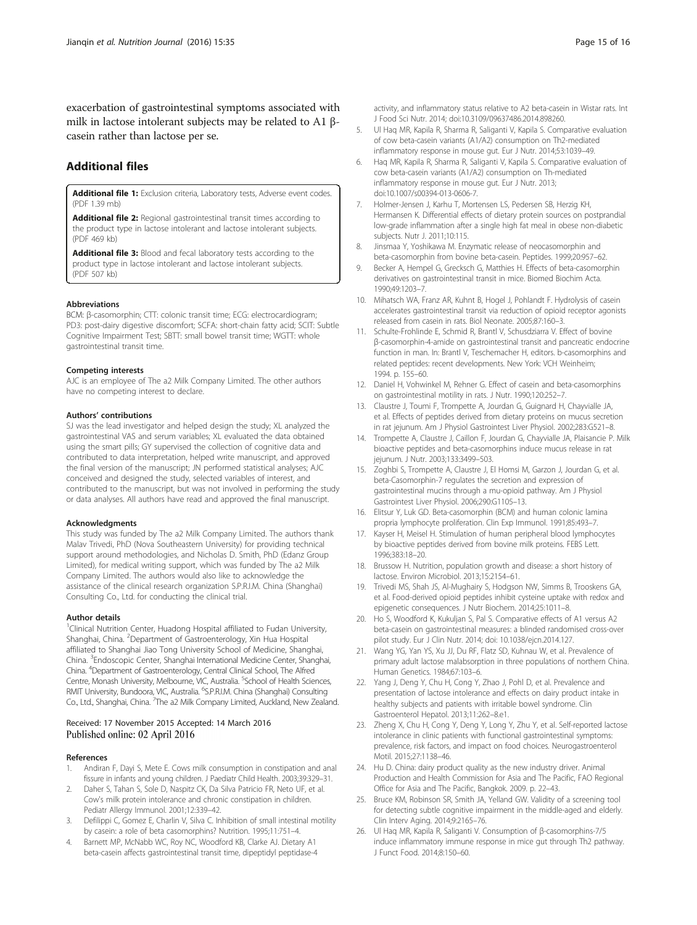<span id="page-14-0"></span>exacerbation of gastrointestinal symptoms associated with milk in lactose intolerant subjects may be related to A1 βcasein rather than lactose per se.

## Additional files

[Additional file 1:](dx.doi.org/10.1186/s12937-016-0147-z) Exclusion criteria, Laboratory tests, Adverse event codes. (PDF 1.39 mb)

[Additional file 2:](dx.doi.org/10.1186/s12937-016-0147-z) Regional gastrointestinal transit times according to the product type in lactose intolerant and lactose intolerant subjects. (PDF 469 kb)

[Additional file 3:](dx.doi.org/10.1186/s12937-016-0147-z) Blood and fecal laboratory tests according to the product type in lactose intolerant and lactose intolerant subjects. (PDF 507 kb)

#### **Abbreviations**

BCM: β-casomorphin; CTT: colonic transit time; ECG: electrocardiogram; PD3: post-dairy digestive discomfort; SCFA: short-chain fatty acid; SCIT: Subtle Cognitive Impairment Test; SBTT: small bowel transit time; WGTT: whole gastrointestinal transit time.

#### Competing interests

AJC is an employee of The a2 Milk Company Limited. The other authors have no competing interest to declare.

#### Authors' contributions

SJ was the lead investigator and helped design the study; XL analyzed the gastrointestinal VAS and serum variables; XL evaluated the data obtained using the smart pills; GY supervised the collection of cognitive data and contributed to data interpretation, helped write manuscript, and approved the final version of the manuscript; JN performed statistical analyses; AJC conceived and designed the study, selected variables of interest, and contributed to the manuscript, but was not involved in performing the study or data analyses. All authors have read and approved the final manuscript.

#### Acknowledgments

This study was funded by The a2 Milk Company Limited. The authors thank Malav Trivedi, PhD (Nova Southeastern University) for providing technical support around methodologies, and Nicholas D. Smith, PhD (Edanz Group Limited), for medical writing support, which was funded by The a2 Milk Company Limited. The authors would also like to acknowledge the assistance of the clinical research organization S.P.R.I.M. China (Shanghai) Consulting Co., Ltd. for conducting the clinical trial.

#### Author details

<sup>1</sup>Clinical Nutrition Center, Huadong Hospital affiliated to Fudan University, Shanghai, China. <sup>2</sup>Department of Gastroenterology, Xin Hua Hospital affiliated to Shanghai Jiao Tong University School of Medicine, Shanghai, China. <sup>3</sup> Endoscopic Center, Shanghai International Medicine Center, Shanghai, China. <sup>4</sup> Department of Gastroenterology, Central Clinical School, The Alfred Centre, Monash University, Melbourne, VIC, Australia. <sup>5</sup>School of Health Sciences, RMIT University, Bundoora, VIC, Australia. <sup>6</sup>S.P.R.I.M. China (Shanghai) Consulting Co., Ltd., Shanghai, China. <sup>7</sup>The a2 Milk Company Limited, Auckland, New Zealand.

### Received: 17 November 2015 Accepted: 14 March 2016 Published online: 02 April 2016

#### References

- 1. Andiran F, Dayi S, Mete E. Cows milk consumption in constipation and anal fissure in infants and young children. J Paediatr Child Health. 2003;39:329–31.
- 2. Daher S, Tahan S, Sole D, Naspitz CK, Da Silva Patricio FR, Neto UF, et al. Cow's milk protein intolerance and chronic constipation in children. Pediatr Allergy Immunol. 2001;12:339–42.
- Defilippi C, Gomez E, Charlin V, Silva C. Inhibition of small intestinal motility by casein: a role of beta casomorphins? Nutrition. 1995;11:751–4.
- Barnett MP, McNabb WC, Roy NC, Woodford KB, Clarke AJ. Dietary A1 beta-casein affects gastrointestinal transit time, dipeptidyl peptidase-4

activity, and inflammatory status relative to A2 beta-casein in Wistar rats. Int J Food Sci Nutr. 2014; doi[:10.3109/09637486.2014.898260](http://dx.doi.org/10.3109/09637486.2014.898260).

- 5. Ul Haq MR, Kapila R, Sharma R, Saliganti V, Kapila S. Comparative evaluation of cow beta-casein variants (A1/A2) consumption on Th2-mediated inflammatory response in mouse gut. Eur J Nutr. 2014;53:1039–49.
- 6. Haq MR, Kapila R, Sharma R, Saliganti V, Kapila S. Comparative evaluation of cow beta-casein variants (A1/A2) consumption on Th-mediated inflammatory response in mouse gut. Eur J Nutr. 2013; doi[:10.1007/s00394-013-0606-7](http://dx.doi.org/10.1007/s00394-013-0606-7).
- 7. Holmer-Jensen J, Karhu T, Mortensen LS, Pedersen SB, Herzig KH, Hermansen K. Differential effects of dietary protein sources on postprandial low-grade inflammation after a single high fat meal in obese non-diabetic subjects. Nutr J. 2011;10:115.
- 8. Jinsmaa Y, Yoshikawa M. Enzymatic release of neocasomorphin and beta-casomorphin from bovine beta-casein. Peptides. 1999;20:957–62.
- 9. Becker A, Hempel G, Grecksch G, Matthies H. Effects of beta-casomorphin derivatives on gastrointestinal transit in mice. Biomed Biochim Acta. 1990;49:1203–7.
- 10. Mihatsch WA, Franz AR, Kuhnt B, Hogel J, Pohlandt F. Hydrolysis of casein accelerates gastrointestinal transit via reduction of opioid receptor agonists released from casein in rats. Biol Neonate. 2005;87:160–3.
- 11. Schulte-Frohlinde E, Schmid R, Brantl V, Schusdziarra V. Effect of bovine β-casomorphin-4-amide on gastrointestinal transit and pancreatic endocrine function in man. In: Brantl V, Teschemacher H, editors. b-casomorphins and related peptides: recent developments. New York: VCH Weinheim; 1994. p. 155–60.
- 12. Daniel H, Vohwinkel M, Rehner G. Effect of casein and beta-casomorphins on gastrointestinal motility in rats. J Nutr. 1990;120:252–7.
- 13. Claustre J, Toumi F, Trompette A, Jourdan G, Guignard H, Chayvialle JA, et al. Effects of peptides derived from dietary proteins on mucus secretion in rat jejunum. Am J Physiol Gastrointest Liver Physiol. 2002;283:G521–8.
- 14. Trompette A, Claustre J, Caillon F, Jourdan G, Chayvialle JA, Plaisancie P. Milk bioactive peptides and beta-casomorphins induce mucus release in rat jejunum. J Nutr. 2003;133:3499–503.
- 15. Zoghbi S, Trompette A, Claustre J, El Homsi M, Garzon J, Jourdan G, et al. beta-Casomorphin-7 regulates the secretion and expression of gastrointestinal mucins through a mu-opioid pathway. Am J Physiol Gastrointest Liver Physiol. 2006;290:G1105–13.
- 16. Elitsur Y, Luk GD. Beta-casomorphin (BCM) and human colonic lamina propria lymphocyte proliferation. Clin Exp Immunol. 1991;85:493–7.
- 17. Kayser H, Meisel H. Stimulation of human peripheral blood lymphocytes by bioactive peptides derived from bovine milk proteins. FEBS Lett. 1996;383:18–20.
- 18. Brussow H. Nutrition, population growth and disease: a short history of lactose. Environ Microbiol. 2013;15:2154–61.
- 19. Trivedi MS, Shah JS, Al-Mughairy S, Hodgson NW, Simms B, Trooskens GA, et al. Food-derived opioid peptides inhibit cysteine uptake with redox and epigenetic consequences. J Nutr Biochem. 2014;25:1011–8.
- 20. Ho S, Woodford K, Kukuljan S, Pal S. Comparative effects of A1 versus A2 beta-casein on gastrointestinal measures: a blinded randomised cross-over pilot study. Eur J Clin Nutr. 2014; doi: [10.1038/ejcn.2014.127](http://dx.doi.org/10.1038/ejcn.2014.127).
- 21. Wang YG, Yan YS, Xu JJ, Du RF, Flatz SD, Kuhnau W, et al. Prevalence of primary adult lactose malabsorption in three populations of northern China. Human Genetics. 1984;67:103–6.
- 22. Yang J, Deng Y, Chu H, Cong Y, Zhao J, Pohl D, et al. Prevalence and presentation of lactose intolerance and effects on dairy product intake in healthy subjects and patients with irritable bowel syndrome. Clin Gastroenterol Hepatol. 2013;11:262–8.e1.
- 23. Zheng X, Chu H, Cong Y, Deng Y, Long Y, Zhu Y, et al. Self-reported lactose intolerance in clinic patients with functional gastrointestinal symptoms: prevalence, risk factors, and impact on food choices. Neurogastroenterol Motil. 2015;27:1138–46.
- 24. Hu D. China: dairy product quality as the new industry driver. Animal Production and Health Commission for Asia and The Pacific, FAO Regional Office for Asia and The Pacific, Bangkok. 2009. p. 22–43.
- 25. Bruce KM, Robinson SR, Smith JA, Yelland GW. Validity of a screening tool for detecting subtle cognitive impairment in the middle-aged and elderly. Clin Interv Aging. 2014;9:2165–76.
- 26. Ul Haq MR, Kapila R, Saliganti V. Consumption of β-casomorphins-7/5 induce inflammatory immune response in mice gut through Th2 pathway. J Funct Food. 2014;8:150–60.